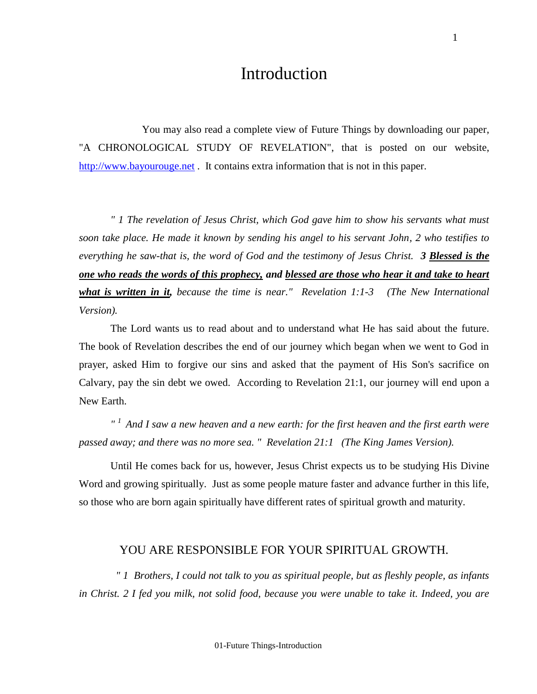## Introduction

You may also read a complete view of Future Things by downloading our paper, "A CHRONOLOGICAL STUDY OF REVELATION", that is posted on our website, [http://www.bayourouge.net](http://www.bayourouge.net/) . It contains extra information that is not in this paper.

 *" 1 The revelation of Jesus Christ, which God gave him to show his servants what must soon take place. He made it known by sending his angel to his servant John, 2 who testifies to everything he saw-that is, the word of God and the testimony of Jesus Christ. 3 Blessed is the one who reads the words of this prophecy, and blessed are those who hear it and take to heart what is written in it, because the time is near." Revelation 1:1-3 (The New International Version).*

The Lord wants us to read about and to understand what He has said about the future. The book of Revelation describes the end of our journey which began when we went to God in prayer, asked Him to forgive our sins and asked that the payment of His Son's sacrifice on Calvary, pay the sin debt we owed. According to Revelation 21:1, our journey will end upon a New Earth.

*" <sup>1</sup>And I saw a new heaven and a new earth: for the first heaven and the first earth were passed away; and there was no more sea. " Revelation 21:1 (The King James Version).*

Until He comes back for us, however, Jesus Christ expects us to be studying His Divine Word and growing spiritually. Just as some people mature faster and advance further in this life, so those who are born again spiritually have different rates of spiritual growth and maturity.

## YOU ARE RESPONSIBLE FOR YOUR SPIRITUAL GROWTH.

 *" 1 Brothers, I could not talk to you as spiritual people, but as fleshly people, as infants in Christ. 2 I fed you milk, not solid food, because you were unable to take it. Indeed, you are*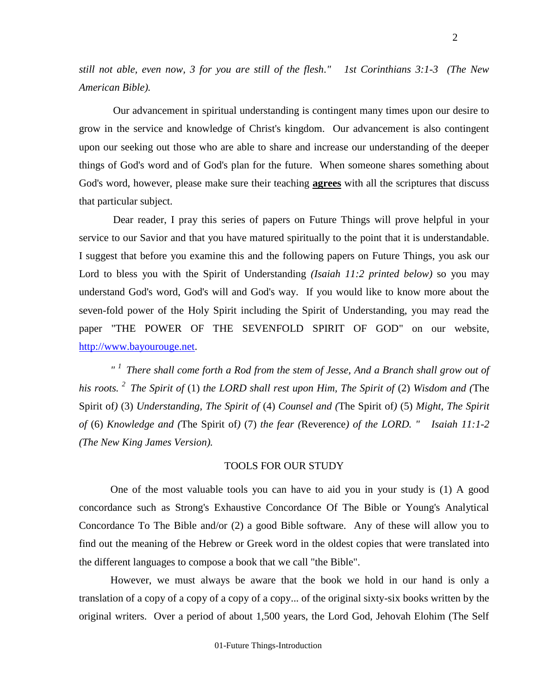*still not able, even now, 3 for you are still of the flesh." 1st Corinthians 3:1-3 (The New American Bible).*

 Our advancement in spiritual understanding is contingent many times upon our desire to grow in the service and knowledge of Christ's kingdom. Our advancement is also contingent upon our seeking out those who are able to share and increase our understanding of the deeper things of God's word and of God's plan for the future. When someone shares something about God's word, however, please make sure their teaching **agrees** with all the scriptures that discuss that particular subject.

 Dear reader, I pray this series of papers on Future Things will prove helpful in your service to our Savior and that you have matured spiritually to the point that it is understandable. I suggest that before you examine this and the following papers on Future Things, you ask our Lord to bless you with the Spirit of Understanding *(Isaiah 11:2 printed below)* so you may understand God's word, God's will and God's way. If you would like to know more about the seven-fold power of the Holy Spirit including the Spirit of Understanding, you may read the paper "THE POWER OF THE SEVENFOLD SPIRIT OF GOD" on our website, [http://www.bayourouge.net.](http://www.bayourouge.net/)

*" <sup>1</sup>There shall come forth a Rod from the stem of Jesse, And a Branch shall grow out of his roots. <sup>2</sup>The Spirit of* (1) *the LORD shall rest upon Him, The Spirit of* (2) *Wisdom and (*The Spirit of*)* (3) *Understanding, The Spirit of* (4) *Counsel and (*The Spirit of*)* (5) *Might, The Spirit of* (6) *Knowledge and (*The Spirit of*)* (7) *the fear (*Reverence*) of the LORD. " Isaiah 11:1-2 (The New King James Version).* 

#### TOOLS FOR OUR STUDY

One of the most valuable tools you can have to aid you in your study is (1) A good concordance such as Strong's Exhaustive Concordance Of The Bible or Young's Analytical Concordance To The Bible and/or (2) a good Bible software. Any of these will allow you to find out the meaning of the Hebrew or Greek word in the oldest copies that were translated into the different languages to compose a book that we call "the Bible".

However, we must always be aware that the book we hold in our hand is only a translation of a copy of a copy of a copy of a copy... of the original sixty-six books written by the original writers. Over a period of about 1,500 years, the Lord God, Jehovah Elohim (The Self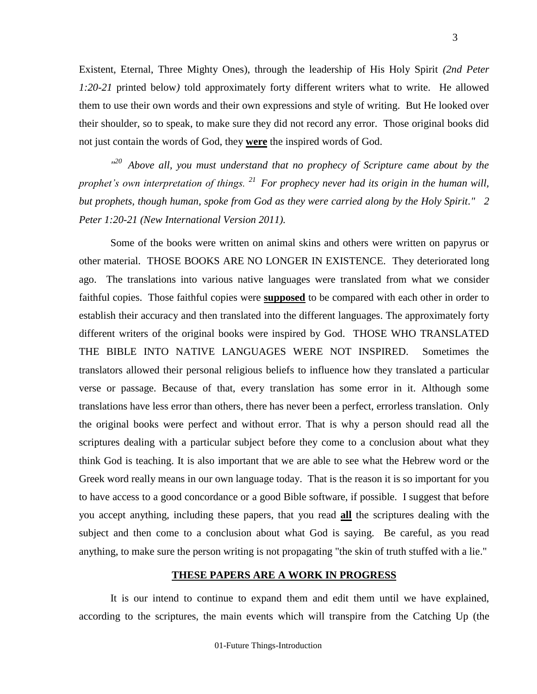Existent, Eternal, Three Mighty Ones), through the leadership of His Holy Spirit *(2nd Peter 1:20-21* printed below*)* told approximately forty different writers what to write. He allowed them to use their own words and their own expressions and style of writing. But He looked over their shoulder, so to speak, to make sure they did not record any error. Those original books did not just contain the words of God, they **were** the inspired words of God.

3

<sup>120</sup> Above all, you must understand that no prophecy of Scripture came about by the *prophet's own interpretation of things. <sup>21</sup>For prophecy never had its origin in the human will, but prophets, though human, spoke from God as they were carried along by the Holy Spirit." 2 Peter 1:20-21 (New International Version 2011).*

Some of the books were written on animal skins and others were written on papyrus or other material. THOSE BOOKS ARE NO LONGER IN EXISTENCE. They deteriorated long ago. The translations into various native languages were translated from what we consider faithful copies. Those faithful copies were **supposed** to be compared with each other in order to establish their accuracy and then translated into the different languages. The approximately forty different writers of the original books were inspired by God. THOSE WHO TRANSLATED THE BIBLE INTO NATIVE LANGUAGES WERE NOT INSPIRED. Sometimes the translators allowed their personal religious beliefs to influence how they translated a particular verse or passage. Because of that, every translation has some error in it. Although some translations have less error than others, there has never been a perfect, errorless translation. Only the original books were perfect and without error. That is why a person should read all the scriptures dealing with a particular subject before they come to a conclusion about what they think God is teaching. It is also important that we are able to see what the Hebrew word or the Greek word really means in our own language today. That is the reason it is so important for you to have access to a good concordance or a good Bible software, if possible. I suggest that before you accept anything, including these papers, that you read **all** the scriptures dealing with the subject and then come to a conclusion about what God is saying. Be careful, as you read anything, to make sure the person writing is not propagating "the skin of truth stuffed with a lie."

## **THESE PAPERS ARE A WORK IN PROGRESS**

It is our intend to continue to expand them and edit them until we have explained, according to the scriptures, the main events which will transpire from the Catching Up (the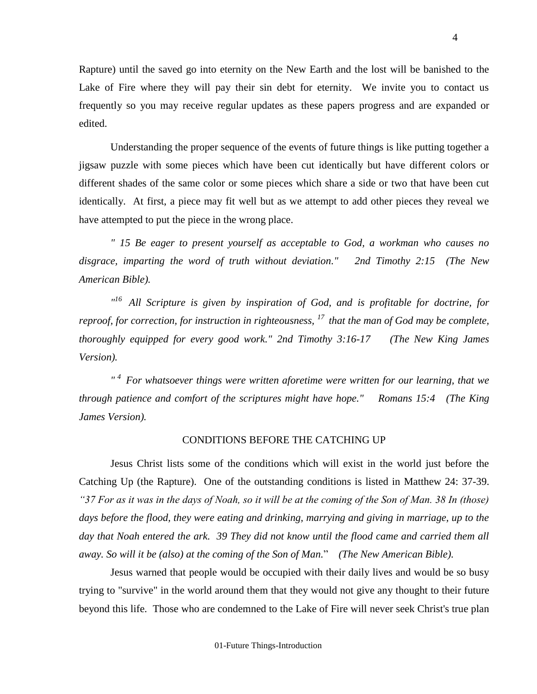Rapture) until the saved go into eternity on the New Earth and the lost will be banished to the Lake of Fire where they will pay their sin debt for eternity. We invite you to contact us frequently so you may receive regular updates as these papers progress and are expanded or edited.

Understanding the proper sequence of the events of future things is like putting together a jigsaw puzzle with some pieces which have been cut identically but have different colors or different shades of the same color or some pieces which share a side or two that have been cut identically. At first, a piece may fit well but as we attempt to add other pieces they reveal we have attempted to put the piece in the wrong place.

*" 15 Be eager to present yourself as acceptable to God, a workman who causes no disgrace, imparting the word of truth without deviation." 2nd Timothy 2:15 (The New American Bible).*

*" <sup>16</sup>All Scripture is given by inspiration of God, and is profitable for doctrine, for reproof, for correction, for instruction in righteousness, <sup>17</sup>that the man of God may be complete, thoroughly equipped for every good work." 2nd Timothy 3:16-17 (The New King James Version).*

*" <sup>4</sup>For whatsoever things were written aforetime were written for our learning, that we through patience and comfort of the scriptures might have hope." Romans 15:4 (The King James Version).*

#### CONDITIONS BEFORE THE CATCHING UP

Jesus Christ lists some of the conditions which will exist in the world just before the Catching Up (the Rapture). One of the outstanding conditions is listed in Matthew 24: 37-39. *"37 For as it was in the days of Noah, so it will be at the coming of the Son of Man. 38 In (those) days before the flood, they were eating and drinking, marrying and giving in marriage, up to the day that Noah entered the ark. 39 They did not know until the flood came and carried them all away. So will it be (also) at the coming of the Son of Man.*" *(The New American Bible).*

Jesus warned that people would be occupied with their daily lives and would be so busy trying to "survive" in the world around them that they would not give any thought to their future beyond this life. Those who are condemned to the Lake of Fire will never seek Christ's true plan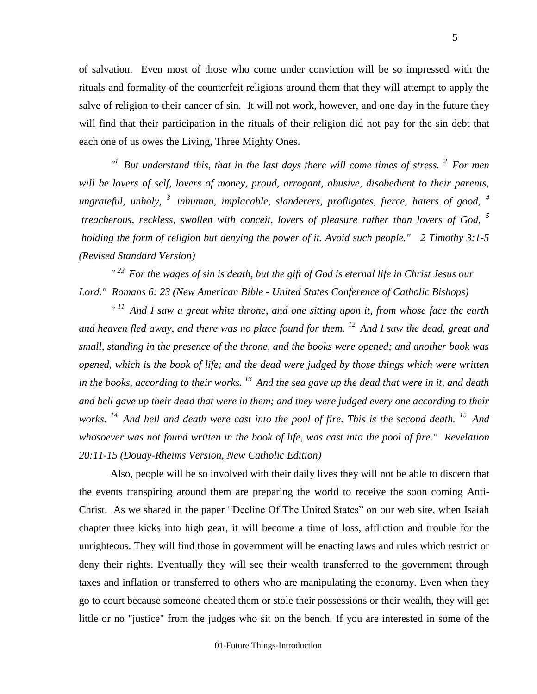of salvation. Even most of those who come under conviction will be so impressed with the rituals and formality of the counterfeit religions around them that they will attempt to apply the salve of religion to their cancer of sin. It will not work, however, and one day in the future they will find that their participation in the rituals of their religion did not pay for the sin debt that each one of us owes the Living, Three Mighty Ones.

<sup>*n*</sup> But understand this, that in the last days there will come times of stress. <sup>2</sup> For men *will be lovers of self, lovers of money, proud, arrogant, abusive, disobedient to their parents, ungrateful, unholy, <sup>3</sup>inhuman, implacable, slanderers, profligates, fierce, haters of good, <sup>4</sup> treacherous, reckless, swollen with conceit, lovers of pleasure rather than lovers of God, <sup>5</sup> holding the form of religion but denying the power of it. Avoid such people." 2 Timothy 3:1-5 (Revised Standard Version)*

*" <sup>23</sup>For the wages of sin is death, but the gift of God is eternal life in Christ Jesus our Lord." Romans 6: 23 (New American Bible - United States Conference of Catholic Bishops)* 

*" <sup>11</sup>And I saw a great white throne, and one sitting upon it, from whose face the earth and heaven fled away, and there was no place found for them. <sup>12</sup>And I saw the dead, great and small, standing in the presence of the throne, and the books were opened; and another book was opened, which is the book of life; and the dead were judged by those things which were written in the books, according to their works. <sup>13</sup>And the sea gave up the dead that were in it, and death and hell gave up their dead that were in them; and they were judged every one according to their works. <sup>14</sup>And hell and death were cast into the pool of fire. This is the second death. <sup>15</sup>And whosoever was not found written in the book of life, was cast into the pool of fire." Revelation 20:11-15 (Douay-Rheims Version, New Catholic Edition)*

Also, people will be so involved with their daily lives they will not be able to discern that the events transpiring around them are preparing the world to receive the soon coming Anti-Christ. As we shared in the paper "Decline Of The United States" on our web site, when Isaiah chapter three kicks into high gear, it will become a time of loss, affliction and trouble for the unrighteous. They will find those in government will be enacting laws and rules which restrict or deny their rights. Eventually they will see their wealth transferred to the government through taxes and inflation or transferred to others who are manipulating the economy. Even when they go to court because someone cheated them or stole their possessions or their wealth, they will get little or no "justice" from the judges who sit on the bench. If you are interested in some of the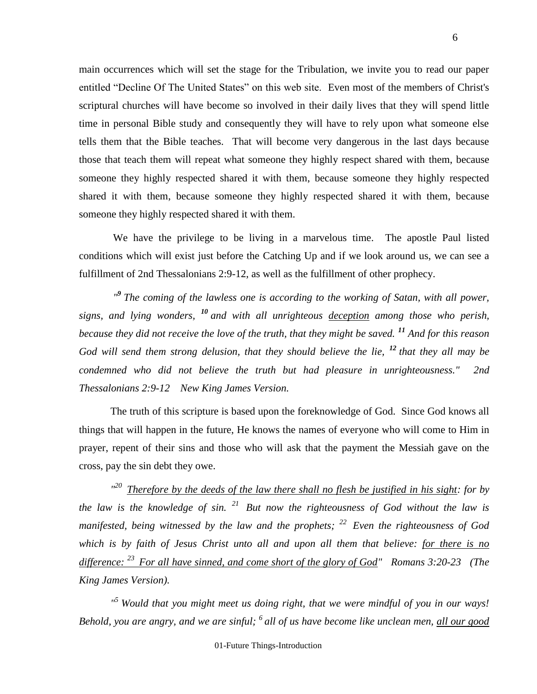main occurrences which will set the stage for the Tribulation, we invite you to read our paper entitled "Decline Of The United States" on this web site. Even most of the members of Christ's scriptural churches will have become so involved in their daily lives that they will spend little time in personal Bible study and consequently they will have to rely upon what someone else tells them that the Bible teaches. That will become very dangerous in the last days because those that teach them will repeat what someone they highly respect shared with them, because someone they highly respected shared it with them, because someone they highly respected shared it with them, because someone they highly respected shared it with them, because someone they highly respected shared it with them.

 We have the privilege to be living in a marvelous time. The apostle Paul listed conditions which will exist just before the Catching Up and if we look around us, we can see a fulfillment of 2nd Thessalonians 2:9-12, as well as the fulfillment of other prophecy.

<sup>"</sup> The coming of the lawless one is according to the working of Satan, with all power, *signs, and lying wonders, <sup>10</sup> and with all unrighteous deception among those who perish, because they did not receive the love of the truth, that they might be saved. <sup>11</sup> And for this reason God will send them strong delusion, that they should believe the lie, <sup>12</sup> that they all may be condemned who did not believe the truth but had pleasure in unrighteousness." 2nd Thessalonians 2:9-12 New King James Version.*

 The truth of this scripture is based upon the foreknowledge of God. Since God knows all things that will happen in the future, He knows the names of everyone who will come to Him in prayer, repent of their sins and those who will ask that the payment the Messiah gave on the cross, pay the sin debt they owe.

<sup>120</sup> Therefore by the deeds of the law there shall no flesh be justified in his sight: for by *the law is the knowledge of sin. <sup>21</sup>But now the righteousness of God without the law is manifested, being witnessed by the law and the prophets; <sup>22</sup>Even the righteousness of God which is by faith of Jesus Christ unto all and upon all them that believe: for there is no difference: <sup>23</sup>For all have sinned, and come short of the glory of God" Romans 3:20-23 (The King James Version).*

*" <sup>5</sup>Would that you might meet us doing right, that we were mindful of you in our ways! Behold, you are angry, and we are sinful; <sup>6</sup>all of us have become like unclean men, all our good*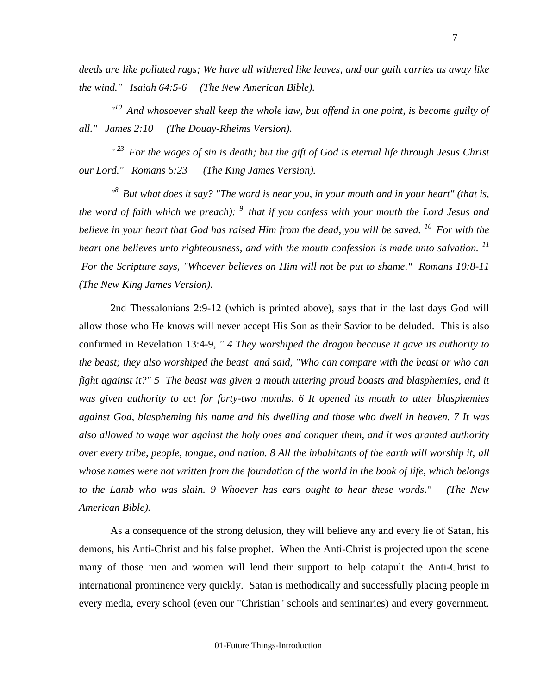*deeds are like polluted rags; We have all withered like leaves, and our guilt carries us away like the wind." Isaiah 64:5-6 (The New American Bible).*

*" <sup>10</sup>And whosoever shall keep the whole law, but offend in one point, is become guilty of all." James 2:10 (The Douay-Rheims Version).*

*" <sup>23</sup>For the wages of sin is death; but the gift of God is eternal life through Jesus Christ our Lord." Romans 6:23 (The King James Version).* 

*" <sup>8</sup>But what does it say? "The word is near you, in your mouth and in your heart" (that is, the word of faith which we preach): <sup>9</sup>that if you confess with your mouth the Lord Jesus and believe in your heart that God has raised Him from the dead, you will be saved. <sup>10</sup>For with the heart one believes unto righteousness, and with the mouth confession is made unto salvation.* <sup>11</sup> *For the Scripture says, "Whoever believes on Him will not be put to shame." Romans 10:8-11 (The New King James Version).*

2nd Thessalonians 2:9-12 (which is printed above), says that in the last days God will allow those who He knows will never accept His Son as their Savior to be deluded. This is also confirmed in Revelation 13:4-9*, " 4 They worshiped the dragon because it gave its authority to the beast; they also worshiped the beast and said, "Who can compare with the beast or who can fight against it?" 5 The beast was given a mouth uttering proud boasts and blasphemies, and it was given authority to act for forty-two months. 6 It opened its mouth to utter blasphemies against God, blaspheming his name and his dwelling and those who dwell in heaven. 7 It was also allowed to wage war against the holy ones and conquer them, and it was granted authority over every tribe, people, tongue, and nation. 8 All the inhabitants of the earth will worship it, all whose names were not written from the foundation of the world in the book of life, which belongs to the Lamb who was slain. 9 Whoever has ears ought to hear these words." (The New American Bible).*

As a consequence of the strong delusion, they will believe any and every lie of Satan, his demons, his Anti-Christ and his false prophet. When the Anti-Christ is projected upon the scene many of those men and women will lend their support to help catapult the Anti-Christ to international prominence very quickly. Satan is methodically and successfully placing people in every media, every school (even our "Christian" schools and seminaries) and every government.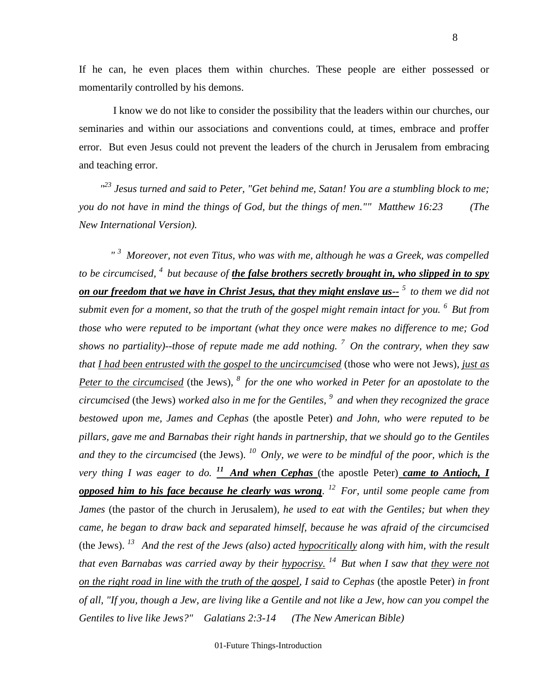If he can, he even places them within churches. These people are either possessed or momentarily controlled by his demons.

 I know we do not like to consider the possibility that the leaders within our churches, our seminaries and within our associations and conventions could, at times, embrace and proffer error. But even Jesus could not prevent the leaders of the church in Jerusalem from embracing and teaching error.

 *" <sup>23</sup> Jesus turned and said to Peter, "Get behind me, Satan! You are a stumbling block to me; you do not have in mind the things of God, but the things of men."" Matthew 16:23 (The New International Version).*

*" <sup>3</sup> Moreover, not even Titus, who was with me, although he was a Greek, was compelled to be circumcised, <sup>4</sup>but because of the false brothers secretly brought in, who slipped in to spy on our freedom that we have in Christ Jesus, that they might enslave us-- <sup>5</sup>to them we did not submit even for a moment, so that the truth of the gospel might remain intact for you. <sup>6</sup>But from those who were reputed to be important (what they once were makes no difference to me; God shows no partiality)--those of repute made me add nothing. <sup>7</sup>On the contrary, when they saw that I had been entrusted with the gospel to the uncircumcised* (those who were not Jews)*, just as Peter to the circumcised* (the Jews), <sup>8</sup> *for the one who worked in Peter for an apostolate to the circumcised* (the Jews) *worked also in me for the Gentiles, <sup>9</sup>and when they recognized the grace bestowed upon me, James and Cephas* (the apostle Peter) *and John, who were reputed to be pillars, gave me and Barnabas their right hands in partnership, that we should go to the Gentiles and they to the circumcised* (the Jews). *<sup>10</sup>Only, we were to be mindful of the poor, which is the very thing I was eager to do. <sup>11</sup>And when Cephas* (the apostle Peter) *came to Antioch, I opposed him to his face because he clearly was wrong. <sup>12</sup>For, until some people came from James* (the pastor of the church in Jerusalem)*, he used to eat with the Gentiles; but when they came, he began to draw back and separated himself, because he was afraid of the circumcised* (the Jews). *<sup>13</sup>And the rest of the Jews (also) acted hypocritically along with him, with the result that even Barnabas was carried away by their hypocrisy. <sup>14</sup>But when I saw that they were not on the right road in line with the truth of the gospel, I said to Cephas* (the apostle Peter) *in front of all, "If you, though a Jew, are living like a Gentile and not like a Jew, how can you compel the Gentiles to live like Jews?" Galatians 2:3-14 (The New American Bible)*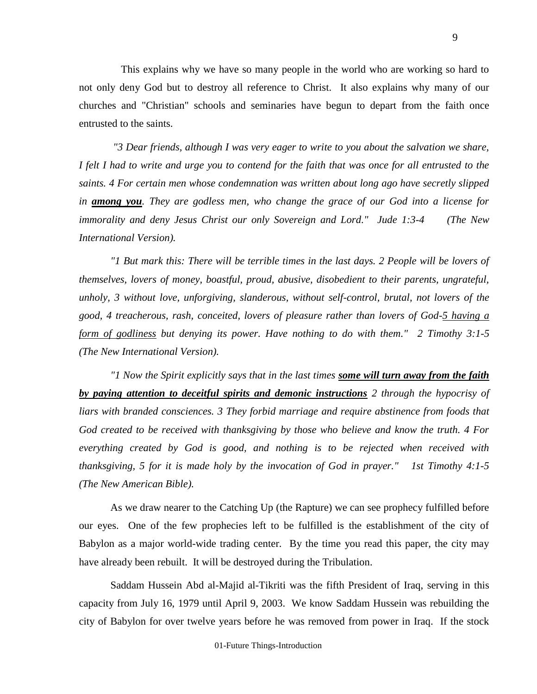This explains why we have so many people in the world who are working so hard to not only deny God but to destroy all reference to Christ. It also explains why many of our churches and "Christian" schools and seminaries have begun to depart from the faith once entrusted to the saints.

 *"3 Dear friends, although I was very eager to write to you about the salvation we share, I felt I had to write and urge you to contend for the faith that was once for all entrusted to the saints. 4 For certain men whose condemnation was written about long ago have secretly slipped in among you. They are godless men, who change the grace of our God into a license for immorality and deny Jesus Christ our only Sovereign and Lord." Jude 1:3-4 (The New International Version).*

*"1 But mark this: There will be terrible times in the last days. 2 People will be lovers of themselves, lovers of money, boastful, proud, abusive, disobedient to their parents, ungrateful, unholy, 3 without love, unforgiving, slanderous, without self-control, brutal, not lovers of the good, 4 treacherous, rash, conceited, lovers of pleasure rather than lovers of God-5 having a form of godliness but denying its power. Have nothing to do with them." 2 Timothy 3:1-5 (The New International Version).*

*"1 Now the Spirit explicitly says that in the last times some will turn away from the faith by paying attention to deceitful spirits and demonic instructions 2 through the hypocrisy of liars with branded consciences. 3 They forbid marriage and require abstinence from foods that God created to be received with thanksgiving by those who believe and know the truth. 4 For everything created by God is good, and nothing is to be rejected when received with thanksgiving, 5 for it is made holy by the invocation of God in prayer." 1st Timothy 4:1-5 (The New American Bible).*

As we draw nearer to the Catching Up (the Rapture) we can see prophecy fulfilled before our eyes. One of the few prophecies left to be fulfilled is the establishment of the city of Babylon as a major world-wide trading center. By the time you read this paper, the city may have already been rebuilt. It will be destroyed during the Tribulation.

Saddam Hussein Abd al-Majid al-Tikriti was the fifth President of Iraq, serving in this capacity from July 16, 1979 until April 9, 2003. We know Saddam Hussein was rebuilding the city of Babylon for over twelve years before he was removed from power in Iraq. If the stock

9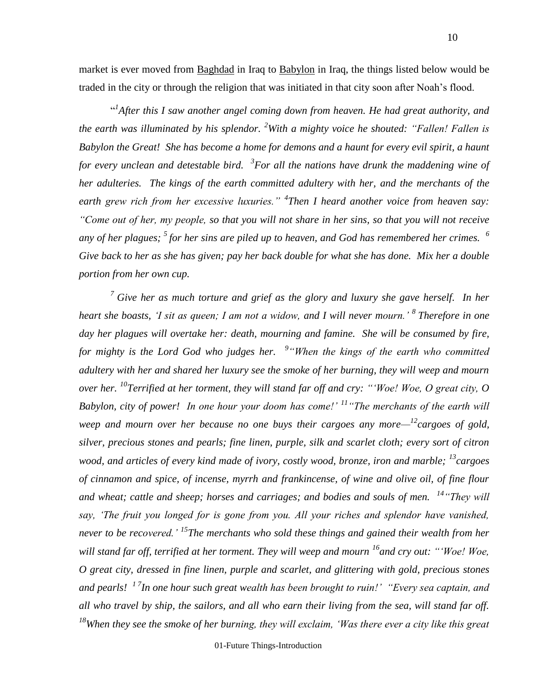market is ever moved from Baghdad in Iraq to Babylon in Iraq, the things listed below would be traded in the city or through the religion that was initiated in that city soon after Noah's flood.

<sup>41</sup> After this I saw another angel coming down from heaven. He had great authority, and *the earth was illuminated by his splendor. <sup>2</sup>With a mighty voice he shouted: "Fallen! Fallen is Babylon the Great! She has become a home for demons and a haunt for every evil spirit, a haunt for every unclean and detestable bird.* <sup>3</sup> For all the nations have drunk the maddening wine of *her adulteries. The kings of the earth committed adultery with her, and the merchants of the earth grew rich from her excessive luxuries." <sup>4</sup> Then I heard another voice from heaven say: "Come out of her, my people, so that you will not share in her sins, so that you will not receive*  any of her plagues; <sup>5</sup> for her sins are piled up to heaven, and God has remembered her crimes. <sup>6</sup> *Give back to her as she has given; pay her back double for what she has done. Mix her a double portion from her own cup.*

*<sup>7</sup> Give her as much torture and grief as the glory and luxury she gave herself. In her heart she boasts, 'I sit as queen; I am not a widow, and I will never mourn.' <sup>8</sup> Therefore in one day her plagues will overtake her: death, mourning and famine. She will be consumed by fire, for mighty is the Lord God who judges her. 9 "When the kings of the earth who committed adultery with her and shared her luxury see the smoke of her burning, they will weep and mourn over her. <sup>10</sup>Terrified at her torment, they will stand far off and cry: "'Woe! Woe, O great city, O Babylon, city of power! In one hour your doom has come!' <sup>11</sup>"The merchants of the earth will weep and mourn over her because no one buys their cargoes any more— <sup>12</sup>cargoes of gold, silver, precious stones and pearls; fine linen, purple, silk and scarlet cloth; every sort of citron*  wood, and articles of every kind made of ivory, costly wood, bronze, iron and marble; <sup>13</sup> cargoes *of cinnamon and spice, of incense, myrrh and frankincense, of wine and olive oil, of fine flour and wheat; cattle and sheep; horses and carriages; and bodies and souls of men. <sup>14</sup>"They will say, 'The fruit you longed for is gone from you. All your riches and splendor have vanished, never to be recovered.' <sup>15</sup>The merchants who sold these things and gained their wealth from her will stand far off, terrified at her torment. They will weep and mourn <sup>16</sup>and cry out: "'Woe! Woe, O great city, dressed in fine linen, purple and scarlet, and glittering with gold, precious stones and pearls! 1 7 In one hour such great wealth has been brought to ruin!' "Every sea captain, and all who travel by ship, the sailors, and all who earn their living from the sea, will stand far off. <sup>18</sup>When they see the smoke of her burning, they will exclaim, 'Was there ever a city like this great* 

01-Future Things-Introduction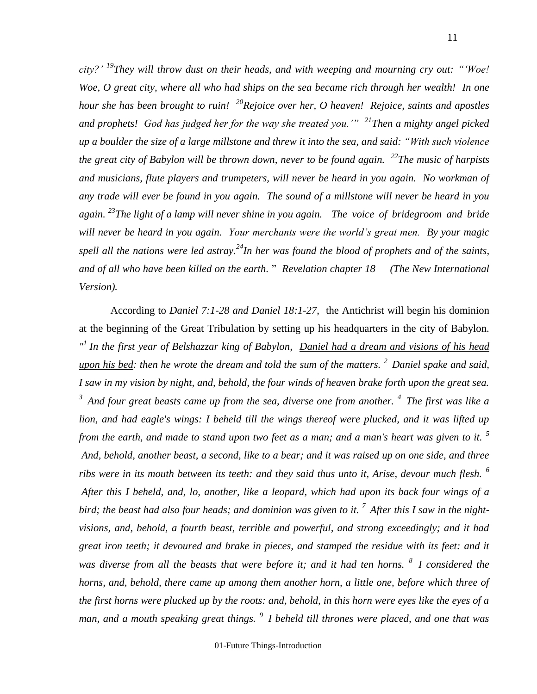*city?' <sup>19</sup>They will throw dust on their heads, and with weeping and mourning cry out: "'Woe! Woe, O great city, where all who had ships on the sea became rich through her wealth! In one hour she has been brought to ruin! <sup>20</sup>Rejoice over her, O heaven! Rejoice, saints and apostles and prophets! God has judged her for the way she treated you.'" <sup>21</sup>Then a mighty angel picked up a boulder the size of a large millstone and threw it into the sea, and said: "With such violence the great city of Babylon will be thrown down, never to be found again. <sup>22</sup>The music of harpists and musicians, flute players and trumpeters, will never be heard in you again. No workman of any trade will ever be found in you again. The sound of a millstone will never be heard in you again. <sup>23</sup>The light of a lamp will never shine in you again. The voice of bridegroom and bride will never be heard in you again. Your merchants were the world's great men. By your magic spell all the nations were led astray.<sup>24</sup>In her was found the blood of prophets and of the saints, and of all who have been killed on the earth.* " *Revelation chapter 18 (The New International Version).*

According to *Daniel 7:1-28 and Daniel 18:1-27*, the Antichrist will begin his dominion at the beginning of the Great Tribulation by setting up his headquarters in the city of Babylon. *" 1 In the first year of Belshazzar king of Babylon, Daniel had a dream and visions of his head upon his bed: then he wrote the dream and told the sum of the matters. <sup>2</sup>Daniel spake and said, I saw in my vision by night, and, behold, the four winds of heaven brake forth upon the great sea. <sup>3</sup>And four great beasts came up from the sea, diverse one from another. <sup>4</sup>The first was like a*  lion, and had eagle's wings: I beheld till the wings thereof were plucked, and it was lifted up *from the earth, and made to stand upon two feet as a man; and a man's heart was given to it. <sup>5</sup> And, behold, another beast, a second, like to a bear; and it was raised up on one side, and three ribs were in its mouth between its teeth: and they said thus unto it, Arise, devour much flesh. <sup>6</sup> After this I beheld, and, lo, another, like a leopard, which had upon its back four wings of a bird; the beast had also four heads; and dominion was given to it. <sup>7</sup>After this I saw in the nightvisions, and, behold, a fourth beast, terrible and powerful, and strong exceedingly; and it had great iron teeth; it devoured and brake in pieces, and stamped the residue with its feet: and it was diverse from all the beasts that were before it; and it had ten horns. <sup>8</sup>I considered the horns, and, behold, there came up among them another horn, a little one, before which three of the first horns were plucked up by the roots: and, behold, in this horn were eyes like the eyes of a man, and a mouth speaking great things. <sup>9</sup>I beheld till thrones were placed, and one that was*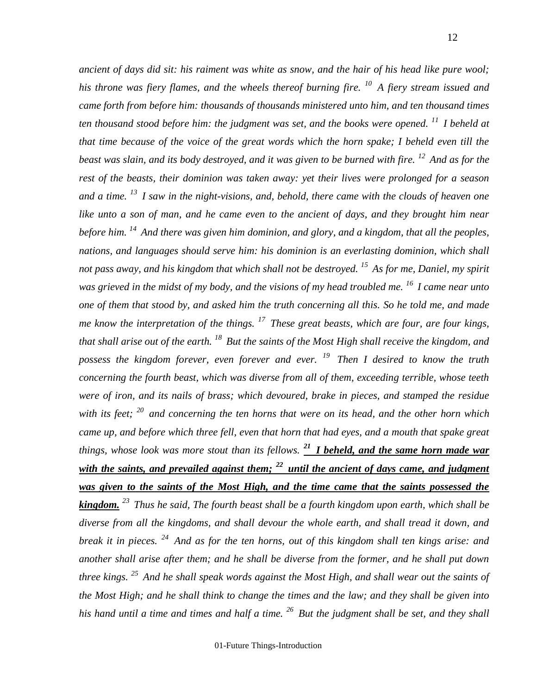*ancient of days did sit: his raiment was white as snow, and the hair of his head like pure wool; his throne was fiery flames, and the wheels thereof burning fire. <sup>10</sup>A fiery stream issued and came forth from before him: thousands of thousands ministered unto him, and ten thousand times ten thousand stood before him: the judgment was set, and the books were opened. <sup>11</sup>I beheld at that time because of the voice of the great words which the horn spake; I beheld even till the beast was slain, and its body destroyed, and it was given to be burned with fire. <sup>12</sup>And as for the rest of the beasts, their dominion was taken away: yet their lives were prolonged for a season and a time. <sup>13</sup>I saw in the night-visions, and, behold, there came with the clouds of heaven one like unto a son of man, and he came even to the ancient of days, and they brought him near before him. <sup>14</sup>And there was given him dominion, and glory, and a kingdom, that all the peoples, nations, and languages should serve him: his dominion is an everlasting dominion, which shall not pass away, and his kingdom that which shall not be destroyed. <sup>15</sup>As for me, Daniel, my spirit was grieved in the midst of my body, and the visions of my head troubled me. <sup>16</sup>I came near unto one of them that stood by, and asked him the truth concerning all this. So he told me, and made me know the interpretation of the things. <sup>17</sup>These great beasts, which are four, are four kings, that shall arise out of the earth. <sup>18</sup>But the saints of the Most High shall receive the kingdom, and possess the kingdom forever, even forever and ever. <sup>19</sup>Then I desired to know the truth concerning the fourth beast, which was diverse from all of them, exceeding terrible, whose teeth were of iron, and its nails of brass; which devoured, brake in pieces, and stamped the residue with its feet; <sup>20</sup>and concerning the ten horns that were on its head, and the other horn which came up, and before which three fell, even that horn that had eyes, and a mouth that spake great things, whose look was more stout than its fellows. <sup>21</sup>I beheld, and the same horn made war with the saints, and prevailed against them; <sup>22</sup>until the ancient of days came, and judgment was given to the saints of the Most High, and the time came that the saints possessed the kingdom. <sup>23</sup>Thus he said, The fourth beast shall be a fourth kingdom upon earth, which shall be diverse from all the kingdoms, and shall devour the whole earth, and shall tread it down, and break it in pieces. <sup>24</sup>And as for the ten horns, out of this kingdom shall ten kings arise: and another shall arise after them; and he shall be diverse from the former, and he shall put down three kings. <sup>25</sup>And he shall speak words against the Most High, and shall wear out the saints of the Most High; and he shall think to change the times and the law; and they shall be given into his hand until a time and times and half a time. <sup>26</sup>But the judgment shall be set, and they shall* 

01-Future Things-Introduction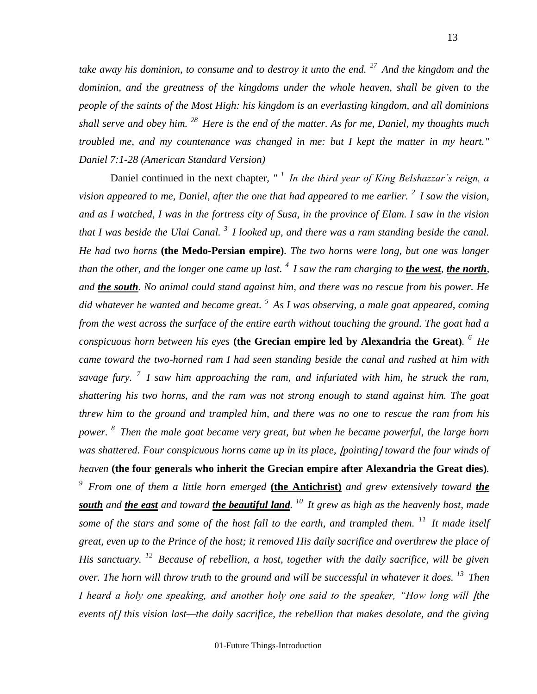*take away his dominion, to consume and to destroy it unto the end. <sup>27</sup>And the kingdom and the*  dominion, and the greatness of the kingdoms under the whole heaven, shall be given to the *people of the saints of the Most High: his kingdom is an everlasting kingdom, and all dominions shall serve and obey him. <sup>28</sup>Here is the end of the matter. As for me, Daniel, my thoughts much troubled me, and my countenance was changed in me: but I kept the matter in my heart." Daniel 7:1-28 (American Standard Version)*

Daniel continued in the next chapter*, " <sup>1</sup>In the third year of King Belshazzar's reign, a vision appeared to me, Daniel, after the one that had appeared to me earlier. <sup>2</sup>I saw the vision, and as I watched, I was in the fortress city of Susa, in the province of Elam. I saw in the vision that I was beside the Ulai Canal. <sup>3</sup>I looked up, and there was a ram standing beside the canal. He had two horns* **(the Medo-Persian empire)***. The two horns were long, but one was longer than the other, and the longer one came up last. <sup>4</sup>I saw the ram charging to the west, the north, and the south. No animal could stand against him, and there was no rescue from his power. He did whatever he wanted and became great. <sup>5</sup>As I was observing, a male goat appeared, coming from the west across the surface of the entire earth without touching the ground. The goat had a conspicuous horn between his eyes* **(the Grecian empire led by Alexandria the Great)***. <sup>6</sup>He came toward the two-horned ram I had seen standing beside the canal and rushed at him with savage fury. <sup>7</sup>I saw him approaching the ram, and infuriated with him, he struck the ram, shattering his two horns, and the ram was not strong enough to stand against him. The goat threw him to the ground and trampled him, and there was no one to rescue the ram from his power. <sup>8</sup>Then the male goat became very great, but when he became powerful, the large horn was shattered. Four conspicuous horns came up in its place, |pointing| toward the four winds of heaven* **(the four generals who inherit the Grecian empire after Alexandria the Great dies)***. <sup>9</sup>From one of them a little horn emerged* **(the Antichrist)** *and grew extensively toward the south and the east and toward the beautiful land. <sup>10</sup>It grew as high as the heavenly host, made some of the stars and some of the host fall to the earth, and trampled them. <sup>11</sup>It made itself great, even up to the Prince of the host; it removed His daily sacrifice and overthrew the place of His sanctuary. <sup>12</sup>Because of rebellion, a host, together with the daily sacrifice, will be given over. The horn will throw truth to the ground and will be successful in whatever it does. <sup>13</sup>Then I heard a holy one speaking, and another holy one said to the speaker, "How long will <i>fthe events of*⌋ *this vision last—the daily sacrifice, the rebellion that makes desolate, and the giving*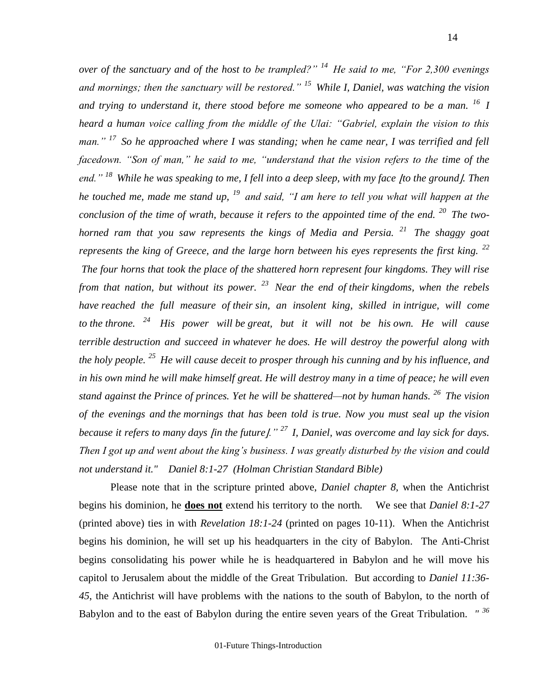*over of the sanctuary and of the host to be trampled?" <sup>14</sup>He said to me, "For 2,300 evenings and mornings; then the sanctuary will be restored." <sup>15</sup>While I, Daniel, was watching the vision and trying to understand it, there stood before me someone who appeared to be a man. <sup>16</sup>I heard a human voice calling from the middle of the Ulai: "Gabriel, explain the vision to this man." <sup>17</sup>So he approached where I was standing; when he came near, I was terrified and fell facedown. "Son of man," he said to me, "understand that the vision refers to the time of the end.*" <sup>*18*</sup> While he was speaking to me, I fell into a deep sleep, with my face |to the ground|. Then *he touched me, made me stand up, <sup>19</sup>and said, "I am here to tell you what will happen at the conclusion of the time of wrath, because it refers to the appointed time of the end. <sup>20</sup>The twohorned ram that you saw represents the kings of Media and Persia. <sup>21</sup>The shaggy goat represents the king of Greece, and the large horn between his eyes represents the first king.* <sup>22</sup> *The four horns that took the place of the shattered horn represent four kingdoms. They will rise from that nation, but without its power. <sup>23</sup>Near the end of their kingdoms, when the rebels have reached the full measure of their sin, an insolent king, skilled in intrigue, will come to the throne. <sup>24</sup>His power will be great, but it will not be his own. He will cause terrible destruction and succeed in whatever he does. He will destroy the powerful along with the holy people. <sup>25</sup>He will cause deceit to prosper through his cunning and by his influence, and in his own mind he will make himself great. He will destroy many in a time of peace; he will even stand against the Prince of princes. Yet he will be shattered—not by human hands. <sup>26</sup>The vision of the evenings and the mornings that has been told is true. Now you must seal up the vision because it refers to many days [in the future].* "<sup>27</sup> *I, Daniel, was overcome and lay sick for days. Then I got up and went about the king's business. I was greatly disturbed by the vision and could not understand it." Daniel 8:1-27 (Holman Christian Standard Bible)*

Please note that in the scripture printed above, *Daniel chapter 8,* when the Antichrist begins his dominion*,* he **does not** extend his territory to the north*.* We see that *Daniel 8:1-27* (printed above) ties in with *Revelation 18:1-24* (printed on pages 10-11). When the Antichrist begins his dominion, he will set up his headquarters in the city of Babylon. The Anti-Christ begins consolidating his power while he is headquartered in Babylon and he will move his capitol to Jerusalem about the middle of the Great Tribulation. But according to *Daniel 11:36- 45*, the Antichrist will have problems with the nations to the south of Babylon, to the north of Babylon and to the east of Babylon during the entire seven years of the Great Tribulation. *" 36*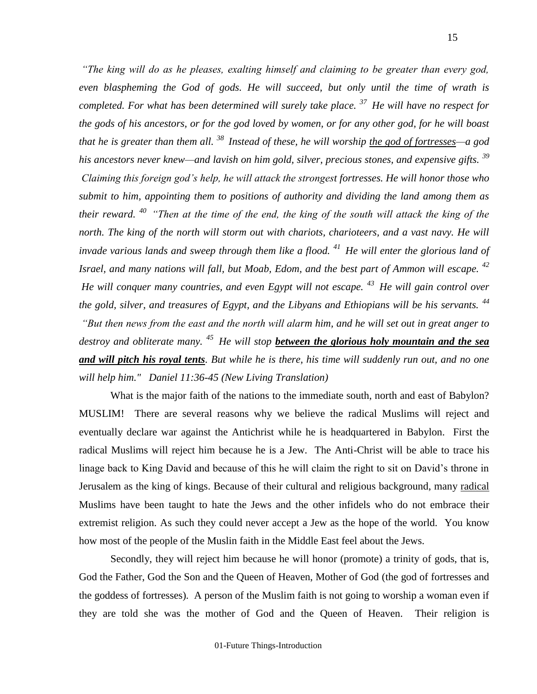*"The king will do as he pleases, exalting himself and claiming to be greater than every god, even blaspheming the God of gods. He will succeed, but only until the time of wrath is completed. For what has been determined will surely take place. <sup>37</sup>He will have no respect for the gods of his ancestors, or for the god loved by women, or for any other god, for he will boast that he is greater than them all. <sup>38</sup>Instead of these, he will worship the god of fortresses—a god his ancestors never knew—and lavish on him gold, silver, precious stones, and expensive gifts. <sup>39</sup> Claiming this foreign god's help, he will attack the strongest fortresses. He will honor those who submit to him, appointing them to positions of authority and dividing the land among them as their reward. <sup>40</sup>"Then at the time of the end, the king of the south will attack the king of the north. The king of the north will storm out with chariots, charioteers, and a vast navy. He will invade various lands and sweep through them like a flood. <sup>41</sup>He will enter the glorious land of Israel, and many nations will fall, but Moab, Edom, and the best part of Ammon will escape.* <sup>42</sup> *He will conquer many countries, and even Egypt will not escape. <sup>43</sup>He will gain control over the gold, silver, and treasures of Egypt, and the Libyans and Ethiopians will be his servants. <sup>44</sup> "But then news from the east and the north will alarm him, and he will set out in great anger to destroy and obliterate many. <sup>45</sup>He will stop between the glorious holy mountain and the sea and will pitch his royal tents. But while he is there, his time will suddenly run out, and no one will help him." Daniel 11:36-45 (New Living Translation)*

What is the major faith of the nations to the immediate south, north and east of Babylon? MUSLIM! There are several reasons why we believe the radical Muslims will reject and eventually declare war against the Antichrist while he is headquartered in Babylon. First the radical Muslims will reject him because he is a Jew. The Anti-Christ will be able to trace his linage back to King David and because of this he will claim the right to sit on David's throne in Jerusalem as the king of kings. Because of their cultural and religious background, many radical Muslims have been taught to hate the Jews and the other infidels who do not embrace their extremist religion. As such they could never accept a Jew as the hope of the world. You know how most of the people of the Muslin faith in the Middle East feel about the Jews.

Secondly, they will reject him because he will honor (promote) a trinity of gods, that is, God the Father, God the Son and the Queen of Heaven, Mother of God (the god of fortresses and the goddess of fortresses)*.* A person of the Muslim faith is not going to worship a woman even if they are told she was the mother of God and the Queen of Heaven. Their religion is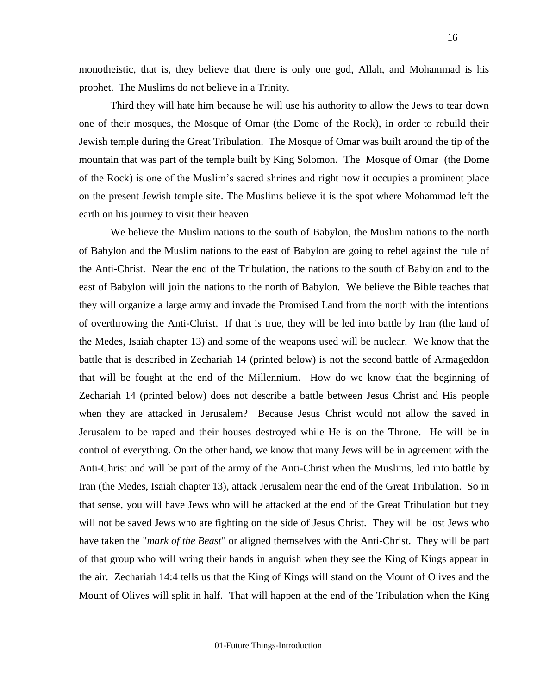monotheistic, that is, they believe that there is only one god, Allah, and Mohammad is his prophet. The Muslims do not believe in a Trinity.

Third they will hate him because he will use his authority to allow the Jews to tear down one of their mosques, the Mosque of Omar (the Dome of the Rock), in order to rebuild their Jewish temple during the Great Tribulation. The Mosque of Omar was built around the tip of the mountain that was part of the temple built by King Solomon. The Mosque of Omar (the Dome of the Rock) is one of the Muslim's sacred shrines and right now it occupies a prominent place on the present Jewish temple site. The Muslims believe it is the spot where Mohammad left the earth on his journey to visit their heaven.

We believe the Muslim nations to the south of Babylon, the Muslim nations to the north of Babylon and the Muslim nations to the east of Babylon are going to rebel against the rule of the Anti-Christ. Near the end of the Tribulation, the nations to the south of Babylon and to the east of Babylon will join the nations to the north of Babylon. We believe the Bible teaches that they will organize a large army and invade the Promised Land from the north with the intentions of overthrowing the Anti-Christ. If that is true, they will be led into battle by Iran (the land of the Medes, Isaiah chapter 13) and some of the weapons used will be nuclear. We know that the battle that is described in Zechariah 14 (printed below) is not the second battle of Armageddon that will be fought at the end of the Millennium. How do we know that the beginning of Zechariah 14 (printed below) does not describe a battle between Jesus Christ and His people when they are attacked in Jerusalem? Because Jesus Christ would not allow the saved in Jerusalem to be raped and their houses destroyed while He is on the Throne. He will be in control of everything. On the other hand, we know that many Jews will be in agreement with the Anti-Christ and will be part of the army of the Anti-Christ when the Muslims, led into battle by Iran (the Medes, Isaiah chapter 13), attack Jerusalem near the end of the Great Tribulation. So in that sense, you will have Jews who will be attacked at the end of the Great Tribulation but they will not be saved Jews who are fighting on the side of Jesus Christ. They will be lost Jews who have taken the "*mark of the Beast*" or aligned themselves with the Anti-Christ. They will be part of that group who will wring their hands in anguish when they see the King of Kings appear in the air. Zechariah 14:4 tells us that the King of Kings will stand on the Mount of Olives and the Mount of Olives will split in half. That will happen at the end of the Tribulation when the King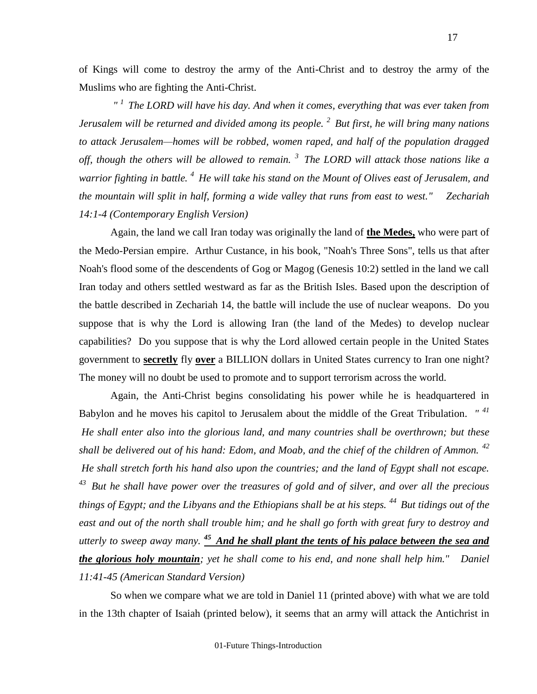of Kings will come to destroy the army of the Anti-Christ and to destroy the army of the Muslims who are fighting the Anti-Christ.

*" <sup>1</sup>The LORD will have his day. And when it comes, everything that was ever taken from Jerusalem will be returned and divided among its people. <sup>2</sup>But first, he will bring many nations to attack Jerusalem—homes will be robbed, women raped, and half of the population dragged off, though the others will be allowed to remain. <sup>3</sup>The LORD will attack those nations like a warrior fighting in battle. <sup>4</sup>He will take his stand on the Mount of Olives east of Jerusalem, and the mountain will split in half, forming a wide valley that runs from east to west." Zechariah 14:1-4 (Contemporary English Version)*

Again, the land we call Iran today was originally the land of **the Medes,** who were part of the Medo-Persian empire. Arthur Custance, in his book, "Noah's Three Sons", tells us that after Noah's flood some of the descendents of Gog or Magog (Genesis 10:2) settled in the land we call Iran today and others settled westward as far as the British Isles. Based upon the description of the battle described in Zechariah 14, the battle will include the use of nuclear weapons. Do you suppose that is why the Lord is allowing Iran (the land of the Medes) to develop nuclear capabilities? Do you suppose that is why the Lord allowed certain people in the United States government to **secretly** fly **over** a BILLION dollars in United States currency to Iran one night? The money will no doubt be used to promote and to support terrorism across the world.

Again, the Anti-Christ begins consolidating his power while he is headquartered in Babylon and he moves his capitol to Jerusalem about the middle of the Great Tribulation. *" 41 He shall enter also into the glorious land, and many countries shall be overthrown; but these shall be delivered out of his hand: Edom, and Moab, and the chief of the children of Ammon. <sup>42</sup> He shall stretch forth his hand also upon the countries; and the land of Egypt shall not escape. <sup>43</sup>But he shall have power over the treasures of gold and of silver, and over all the precious things of Egypt; and the Libyans and the Ethiopians shall be at his steps. <sup>44</sup>But tidings out of the east and out of the north shall trouble him; and he shall go forth with great fury to destroy and*  utterly to sweep away many. <sup>45</sup> And he shall plant the tents of his palace between the sea and *the glorious holy mountain; yet he shall come to his end, and none shall help him." Daniel 11:41-45 (American Standard Version)*

So when we compare what we are told in Daniel 11 (printed above) with what we are told in the 13th chapter of Isaiah (printed below), it seems that an army will attack the Antichrist in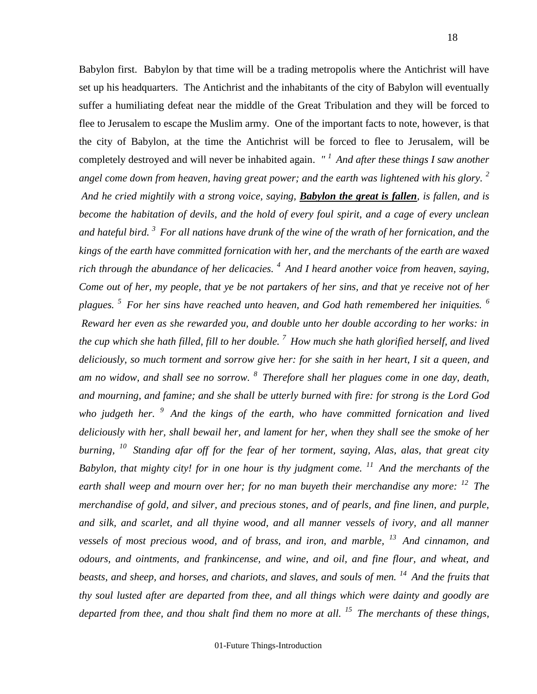Babylon first. Babylon by that time will be a trading metropolis where the Antichrist will have set up his headquarters. The Antichrist and the inhabitants of the city of Babylon will eventually suffer a humiliating defeat near the middle of the Great Tribulation and they will be forced to flee to Jerusalem to escape the Muslim army. One of the important facts to note, however, is that the city of Babylon, at the time the Antichrist will be forced to flee to Jerusalem, will be completely destroyed and will never be inhabited again. *" <sup>1</sup>And after these things I saw another angel come down from heaven, having great power; and the earth was lightened with his glory. <sup>2</sup> And he cried mightily with a strong voice, saying, Babylon the great is fallen, is fallen, and is become the habitation of devils, and the hold of every foul spirit, and a cage of every unclean and hateful bird. <sup>3</sup>For all nations have drunk of the wine of the wrath of her fornication, and the kings of the earth have committed fornication with her, and the merchants of the earth are waxed rich through the abundance of her delicacies. <sup>4</sup>And I heard another voice from heaven, saying, Come out of her, my people, that ye be not partakers of her sins, and that ye receive not of her plagues. <sup>5</sup>For her sins have reached unto heaven, and God hath remembered her iniquities. <sup>6</sup> Reward her even as she rewarded you, and double unto her double according to her works: in the cup which she hath filled, fill to her double. <sup>7</sup>How much she hath glorified herself, and lived deliciously, so much torment and sorrow give her: for she saith in her heart, I sit a queen, and am no widow, and shall see no sorrow. <sup>8</sup>Therefore shall her plagues come in one day, death, and mourning, and famine; and she shall be utterly burned with fire: for strong is the Lord God who judgeth her. <sup>9</sup>And the kings of the earth, who have committed fornication and lived deliciously with her, shall bewail her, and lament for her, when they shall see the smoke of her burning, <sup>10</sup>Standing afar off for the fear of her torment, saying, Alas, alas, that great city Babylon, that mighty city! for in one hour is thy judgment come. <sup>11</sup>And the merchants of the earth shall weep and mourn over her; for no man buyeth their merchandise any more: <sup>12</sup>The merchandise of gold, and silver, and precious stones, and of pearls, and fine linen, and purple, and silk, and scarlet, and all thyine wood, and all manner vessels of ivory, and all manner vessels of most precious wood, and of brass, and iron, and marble, <sup>13</sup>And cinnamon, and odours, and ointments, and frankincense, and wine, and oil, and fine flour, and wheat, and beasts, and sheep, and horses, and chariots, and slaves, and souls of men. <sup>14</sup>And the fruits that thy soul lusted after are departed from thee, and all things which were dainty and goodly are* 

*departed from thee, and thou shalt find them no more at all. <sup>15</sup>The merchants of these things,*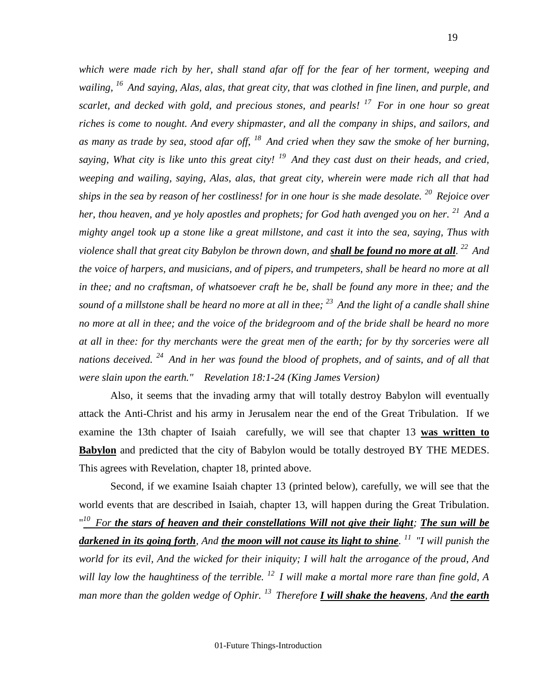*which were made rich by her, shall stand afar off for the fear of her torment, weeping and wailing, <sup>16</sup>And saying, Alas, alas, that great city, that was clothed in fine linen, and purple, and scarlet, and decked with gold, and precious stones, and pearls! <sup>17</sup>For in one hour so great riches is come to nought. And every shipmaster, and all the company in ships, and sailors, and as many as trade by sea, stood afar off, <sup>18</sup>And cried when they saw the smoke of her burning, saying, What city is like unto this great city! <sup>19</sup>And they cast dust on their heads, and cried, weeping and wailing, saying, Alas, alas, that great city, wherein were made rich all that had ships in the sea by reason of her costliness! for in one hour is she made desolate. <sup>20</sup>Rejoice over her, thou heaven, and ye holy apostles and prophets; for God hath avenged you on her. <sup>21</sup>And a mighty angel took up a stone like a great millstone, and cast it into the sea, saying, Thus with violence shall that great city Babylon be thrown down, and shall be found no more at all. <sup>22</sup>And the voice of harpers, and musicians, and of pipers, and trumpeters, shall be heard no more at all in thee; and no craftsman, of whatsoever craft he be, shall be found any more in thee; and the sound of a millstone shall be heard no more at all in thee; <sup>23</sup>And the light of a candle shall shine no more at all in thee; and the voice of the bridegroom and of the bride shall be heard no more at all in thee: for thy merchants were the great men of the earth; for by thy sorceries were all nations deceived. <sup>24</sup>And in her was found the blood of prophets, and of saints, and of all that were slain upon the earth." Revelation 18:1-24 (King James Version)* 

Also, it seems that the invading army that will totally destroy Babylon will eventually attack the Anti-Christ and his army in Jerusalem near the end of the Great Tribulation. If we examine the 13th chapter of Isaiah carefully, we will see that chapter 13 **was written to Babylon** and predicted that the city of Babylon would be totally destroyed BY THE MEDES. This agrees with Revelation, chapter 18, printed above.

Second, if we examine Isaiah chapter 13 (printed below), carefully, we will see that the world events that are described in Isaiah, chapter 13, will happen during the Great Tribulation. " *<sup>10</sup>For the stars of heaven and their constellations Will not give their light; The sun will be darkened in its going forth, And the moon will not cause its light to shine. <sup>11</sup>"I will punish the world for its evil, And the wicked for their iniquity; I will halt the arrogance of the proud, And will lay low the haughtiness of the terrible. <sup>12</sup>I will make a mortal more rare than fine gold, A man more than the golden wedge of Ophir. <sup>13</sup>Therefore I will shake the heavens, And the earth*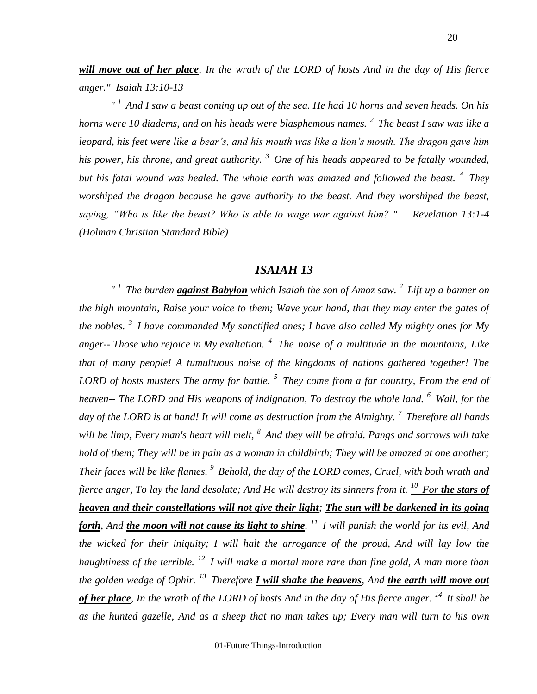*will move out of her place, In the wrath of the LORD of hosts And in the day of His fierce anger." Isaiah 13:10-13*

*" <sup>1</sup>And I saw a beast coming up out of the sea. He had 10 horns and seven heads. On his horns were 10 diadems, and on his heads were blasphemous names. <sup>2</sup>The beast I saw was like a leopard, his feet were like a bear's, and his mouth was like a lion's mouth. The dragon gave him his power, his throne, and great authority. <sup>3</sup>One of his heads appeared to be fatally wounded, but his fatal wound was healed. The whole earth was amazed and followed the beast. <sup>4</sup>They worshiped the dragon because he gave authority to the beast. And they worshiped the beast, saying, "Who is like the beast? Who is able to wage war against him? " Revelation 13:1-4 (Holman Christian Standard Bible)*

## *ISAIAH 13*

*" <sup>1</sup>The burden against Babylon which Isaiah the son of Amoz saw. <sup>2</sup>Lift up a banner on the high mountain, Raise your voice to them; Wave your hand, that they may enter the gates of the nobles. <sup>3</sup>I have commanded My sanctified ones; I have also called My mighty ones for My anger-- Those who rejoice in My exaltation. <sup>4</sup>The noise of a multitude in the mountains, Like that of many people! A tumultuous noise of the kingdoms of nations gathered together! The LORD of hosts musters The army for battle. <sup>5</sup>They come from a far country, From the end of heaven-- The LORD and His weapons of indignation, To destroy the whole land. <sup>6</sup>Wail, for the day of the LORD is at hand! It will come as destruction from the Almighty. <sup>7</sup>Therefore all hands will be limp, Every man's heart will melt, <sup>8</sup>And they will be afraid. Pangs and sorrows will take hold of them; They will be in pain as a woman in childbirth; They will be amazed at one another; Their faces will be like flames. <sup>9</sup>Behold, the day of the LORD comes, Cruel, with both wrath and fierce anger, To lay the land desolate; And He will destroy its sinners from it. <sup>10</sup>For the stars of heaven and their constellations will not give their light; The sun will be darkened in its going forth, And the moon will not cause its light to shine. <sup>11</sup>I will punish the world for its evil, And the wicked for their iniquity; I will halt the arrogance of the proud, And will lay low the haughtiness of the terrible. <sup>12</sup>I will make a mortal more rare than fine gold, A man more than the golden wedge of Ophir. <sup>13</sup>Therefore I will shake the heavens, And the earth will move out of her place, In the wrath of the LORD of hosts And in the day of His fierce anger. <sup>14</sup>It shall be as the hunted gazelle, And as a sheep that no man takes up; Every man will turn to his own* 

01-Future Things-Introduction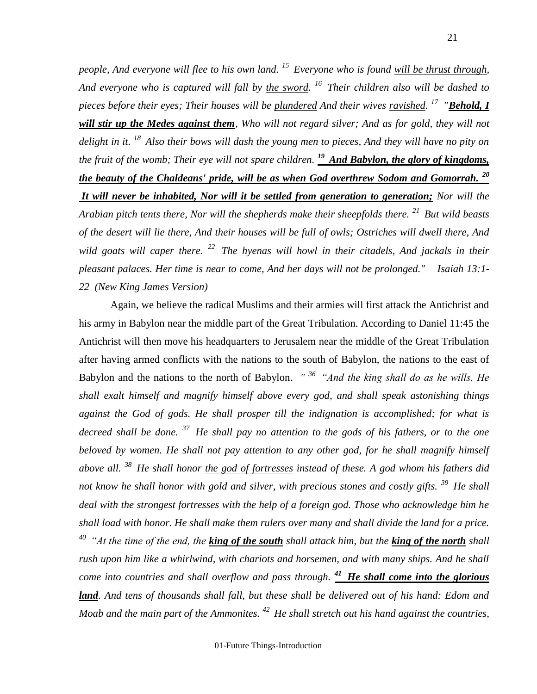*people, And everyone will flee to his own land. <sup>15</sup>Everyone who is found will be thrust through, And everyone who is captured will fall by the sword. <sup>16</sup>Their children also will be dashed to pieces before their eyes; Their houses will be plundered And their wives ravished. <sup>17</sup>"Behold, I will stir up the Medes against them, Who will not regard silver; And as for gold, they will not delight in it. <sup>18</sup>Also their bows will dash the young men to pieces, And they will have no pity on the fruit of the womb; Their eye will not spare children. <sup>19</sup>And Babylon, the glory of kingdoms, the beauty of the Chaldeans' pride, will be as when God overthrew Sodom and Gomorrah. <sup>20</sup> It will never be inhabited, Nor will it be settled from generation to generation; Nor will the Arabian pitch tents there, Nor will the shepherds make their sheepfolds there. <sup>21</sup>But wild beasts of the desert will lie there, And their houses will be full of owls; Ostriches will dwell there, And wild goats will caper there. <sup>22</sup>The hyenas will howl in their citadels, And jackals in their pleasant palaces. Her time is near to come, And her days will not be prolonged." Isaiah 13:1- 22 (New King James Version)* 

Again, we believe the radical Muslims and their armies will first attack the Antichrist and his army in Babylon near the middle part of the Great Tribulation. According to Daniel 11:45 the Antichrist will then move his headquarters to Jerusalem near the middle of the Great Tribulation after having armed conflicts with the nations to the south of Babylon, the nations to the east of Babylon and the nations to the north of Babylon. *" <sup>36</sup>"And the king shall do as he wills. He shall exalt himself and magnify himself above every god, and shall speak astonishing things against the God of gods. He shall prosper till the indignation is accomplished; for what is decreed shall be done. <sup>37</sup>He shall pay no attention to the gods of his fathers, or to the one*  beloved by women. He shall not pay attention to any other god, for he shall magnify himself *above all. <sup>38</sup>He shall honor the god of fortresses instead of these. A god whom his fathers did not know he shall honor with gold and silver, with precious stones and costly gifts. <sup>39</sup>He shall deal with the strongest fortresses with the help of a foreign god. Those who acknowledge him he shall load with honor. He shall make them rulers over many and shall divide the land for a price. At the time of the end, the king of the south shall attack him, but the king of the north shall rush upon him like a whirlwind, with chariots and horsemen, and with many ships. And he shall come into countries and shall overflow and pass through. <sup>41</sup>He shall come into the glorious land. And tens of thousands shall fall, but these shall be delivered out of his hand: Edom and Moab and the main part of the Ammonites. <sup>42</sup>He shall stretch out his hand against the countries,*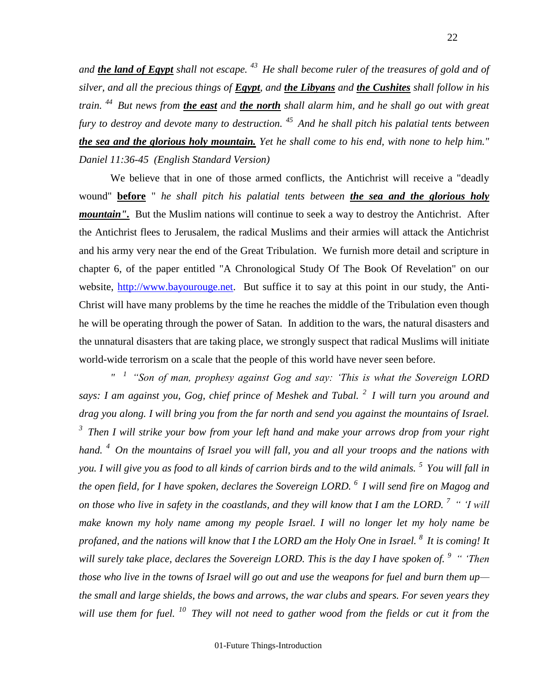*and the land of Egypt shall not escape. <sup>43</sup>He shall become ruler of the treasures of gold and of silver, and all the precious things of Egypt, and the Libyans and the Cushites shall follow in his train. <sup>44</sup>But news from the east and the north shall alarm him, and he shall go out with great fury to destroy and devote many to destruction. <sup>45</sup>And he shall pitch his palatial tents between the sea and the glorious holy mountain. Yet he shall come to his end, with none to help him." Daniel 11:36-45 (English Standard Version)*

We believe that in one of those armed conflicts, the Antichrist will receive a "deadly wound" **before** " *he shall pitch his palatial tents between the sea and the glorious holy mountain".* But the Muslim nations will continue to seek a way to destroy the Antichrist. After the Antichrist flees to Jerusalem, the radical Muslims and their armies will attack the Antichrist and his army very near the end of the Great Tribulation. We furnish more detail and scripture in chapter 6, of the paper entitled "A Chronological Study Of The Book Of Revelation" on our website, [http://www.bayourouge.net.](http://www.bayourouge.net/) But suffice it to say at this point in our study, the Anti-Christ will have many problems by the time he reaches the middle of the Tribulation even though he will be operating through the power of Satan. In addition to the wars, the natural disasters and the unnatural disasters that are taking place, we strongly suspect that radical Muslims will initiate world-wide terrorism on a scale that the people of this world have never seen before.

*" <sup>1</sup>"Son of man, prophesy against Gog and say: 'This is what the Sovereign LORD says: I am against you, Gog, chief prince of Meshek and Tubal. <sup>2</sup>I will turn you around and drag you along. I will bring you from the far north and send you against the mountains of Israel. <sup>3</sup>Then I will strike your bow from your left hand and make your arrows drop from your right hand. <sup>4</sup>On the mountains of Israel you will fall, you and all your troops and the nations with you. I will give you as food to all kinds of carrion birds and to the wild animals. <sup>5</sup>You will fall in the open field, for I have spoken, declares the Sovereign LORD. <sup>6</sup>I will send fire on Magog and on those who live in safety in the coastlands, and they will know that I am the LORD. <sup>7</sup>" 'I will make known my holy name among my people Israel. I will no longer let my holy name be profaned, and the nations will know that I the LORD am the Holy One in Israel. <sup>8</sup>It is coming! It will surely take place, declares the Sovereign LORD. This is the day I have spoken of. <sup>9</sup>" 'Then those who live in the towns of Israel will go out and use the weapons for fuel and burn them up the small and large shields, the bows and arrows, the war clubs and spears. For seven years they will use them for fuel. <sup>10</sup>They will not need to gather wood from the fields or cut it from the*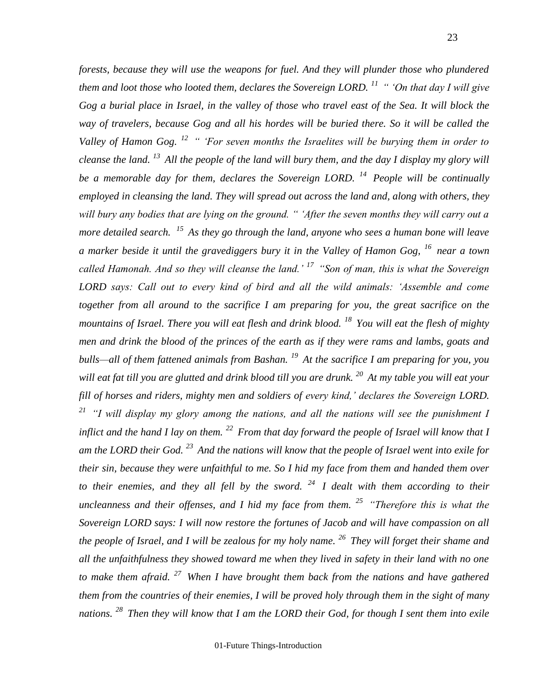*forests, because they will use the weapons for fuel. And they will plunder those who plundered them and loot those who looted them, declares the Sovereign LORD. <sup>11</sup>" 'On that day I will give Gog a burial place in Israel, in the valley of those who travel east of the Sea. It will block the way of travelers, because Gog and all his hordes will be buried there. So it will be called the Valley of Hamon Gog. <sup>12</sup>" 'For seven months the Israelites will be burying them in order to cleanse the land. <sup>13</sup>All the people of the land will bury them, and the day I display my glory will be a memorable day for them, declares the Sovereign LORD. <sup>14</sup>People will be continually employed in cleansing the land. They will spread out across the land and, along with others, they will bury any bodies that are lying on the ground. " 'After the seven months they will carry out a more detailed search. <sup>15</sup>As they go through the land, anyone who sees a human bone will leave a marker beside it until the gravediggers bury it in the Valley of Hamon Gog, <sup>16</sup>near a town called Hamonah. And so they will cleanse the land.' <sup>17</sup>"Son of man, this is what the Sovereign LORD says: Call out to every kind of bird and all the wild animals: 'Assemble and come together from all around to the sacrifice I am preparing for you, the great sacrifice on the mountains of Israel. There you will eat flesh and drink blood. <sup>18</sup>You will eat the flesh of mighty men and drink the blood of the princes of the earth as if they were rams and lambs, goats and bulls—all of them fattened animals from Bashan. <sup>19</sup>At the sacrifice I am preparing for you, you will eat fat till you are glutted and drink blood till you are drunk. <sup>20</sup>At my table you will eat your fill of horses and riders, mighty men and soldiers of every kind,' declares the Sovereign LORD. <sup>21</sup>"I will display my glory among the nations, and all the nations will see the punishment I inflict and the hand I lay on them. <sup>22</sup>From that day forward the people of Israel will know that I am the LORD their God. <sup>23</sup>And the nations will know that the people of Israel went into exile for their sin, because they were unfaithful to me. So I hid my face from them and handed them over to their enemies, and they all fell by the sword. <sup>24</sup>I dealt with them according to their uncleanness and their offenses, and I hid my face from them. <sup>25</sup>"Therefore this is what the Sovereign LORD says: I will now restore the fortunes of Jacob and will have compassion on all the people of Israel, and I will be zealous for my holy name. <sup>26</sup>They will forget their shame and all the unfaithfulness they showed toward me when they lived in safety in their land with no one to make them afraid. <sup>27</sup>When I have brought them back from the nations and have gathered them from the countries of their enemies, I will be proved holy through them in the sight of many nations. <sup>28</sup>Then they will know that I am the LORD their God, for though I sent them into exile* 

01-Future Things-Introduction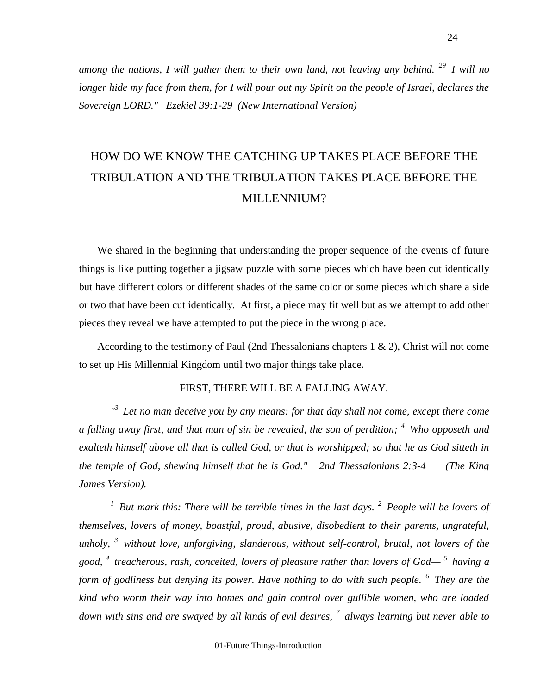*among the nations, I will gather them to their own land, not leaving any behind. <sup>29</sup>I will no longer hide my face from them, for I will pour out my Spirit on the people of Israel, declares the Sovereign LORD." Ezekiel 39:1-29 (New International Version)* 

# HOW DO WE KNOW THE CATCHING UP TAKES PLACE BEFORE THE TRIBULATION AND THE TRIBULATION TAKES PLACE BEFORE THE MILLENNIUM?

 We shared in the beginning that understanding the proper sequence of the events of future things is like putting together a jigsaw puzzle with some pieces which have been cut identically but have different colors or different shades of the same color or some pieces which share a side or two that have been cut identically. At first, a piece may fit well but as we attempt to add other pieces they reveal we have attempted to put the piece in the wrong place.

 According to the testimony of Paul (2nd Thessalonians chapters 1 & 2), Christ will not come to set up His Millennial Kingdom until two major things take place.

## FIRST, THERE WILL BE A FALLING AWAY.

<sup>13</sup> Let no man deceive you by any means: for that day shall not come, except there come *a falling away first, and that man of sin be revealed, the son of perdition; <sup>4</sup>Who opposeth and exalteth himself above all that is called God, or that is worshipped; so that he as God sitteth in the temple of God, shewing himself that he is God." 2nd Thessalonians 2:3-4 (The King James Version).*

*<sup>1</sup>But mark this: There will be terrible times in the last days. <sup>2</sup>People will be lovers of themselves, lovers of money, boastful, proud, abusive, disobedient to their parents, ungrateful, unholy, <sup>3</sup>without love, unforgiving, slanderous, without self-control, brutal, not lovers of the good, <sup>4</sup>treacherous, rash, conceited, lovers of pleasure rather than lovers of God— <sup>5</sup>having a form of godliness but denying its power. Have nothing to do with such people. <sup>6</sup>They are the kind who worm their way into homes and gain control over gullible women, who are loaded down with sins and are swayed by all kinds of evil desires, <sup>7</sup>always learning but never able to* 

01-Future Things-Introduction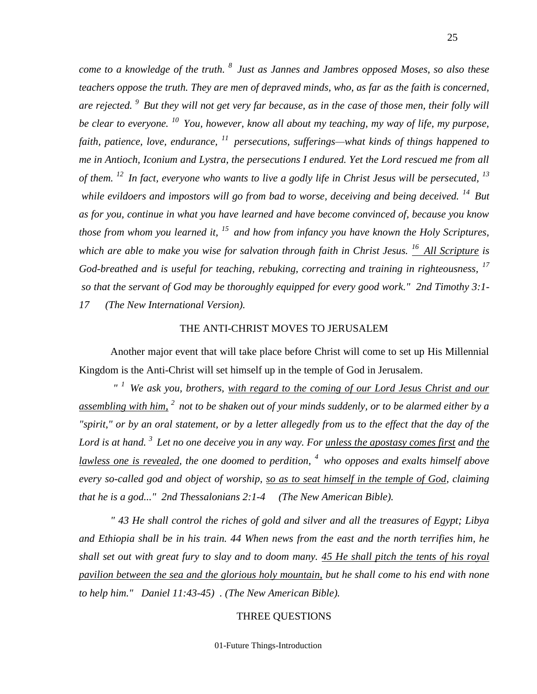*come to a knowledge of the truth. <sup>8</sup>Just as Jannes and Jambres opposed Moses, so also these teachers oppose the truth. They are men of depraved minds, who, as far as the faith is concerned, are rejected. <sup>9</sup>But they will not get very far because, as in the case of those men, their folly will be clear to everyone. <sup>10</sup>You, however, know all about my teaching, my way of life, my purpose,*  faith, patience, love, endurance, <sup>11</sup> persecutions, sufferings—what kinds of things happened to *me in Antioch, Iconium and Lystra, the persecutions I endured. Yet the Lord rescued me from all of them. <sup>12</sup>In fact, everyone who wants to live a godly life in Christ Jesus will be persecuted, <sup>13</sup> while evildoers and impostors will go from bad to worse, deceiving and being deceived. <sup>14</sup>But as for you, continue in what you have learned and have become convinced of, because you know those from whom you learned it, <sup>15</sup>and how from infancy you have known the Holy Scriptures, which are able to make you wise for salvation through faith in Christ Jesus. <sup>16</sup>All Scripture is God-breathed and is useful for teaching, rebuking, correcting and training in righteousness, <sup>17</sup> so that the servant of God may be thoroughly equipped for every good work." 2nd Timothy 3:1- 17 (The New International Version).*

## THE ANTI-CHRIST MOVES TO JERUSALEM

Another major event that will take place before Christ will come to set up His Millennial Kingdom is the Anti-Christ will set himself up in the temple of God in Jerusalem.

*" <sup>1</sup>We ask you, brothers, with regard to the coming of our Lord Jesus Christ and our assembling with him, <sup>2</sup>not to be shaken out of your minds suddenly, or to be alarmed either by a "spirit," or by an oral statement, or by a letter allegedly from us to the effect that the day of the Lord is at hand. <sup>3</sup>Let no one deceive you in any way. For unless the apostasy comes first and the lawless one is revealed, the one doomed to perdition, <sup>4</sup> who opposes and exalts himself above every so-called god and object of worship, so as to seat himself in the temple of God, claiming that he is a god..." 2nd Thessalonians 2:1-4 (The New American Bible).*

*" 43 He shall control the riches of gold and silver and all the treasures of Egypt; Libya and Ethiopia shall be in his train. 44 When news from the east and the north terrifies him, he shall set out with great fury to slay and to doom many. 45 He shall pitch the tents of his royal pavilion between the sea and the glorious holy mountain, but he shall come to his end with none to help him." Daniel 11:43-45) . (The New American Bible).*

## THREE QUESTIONS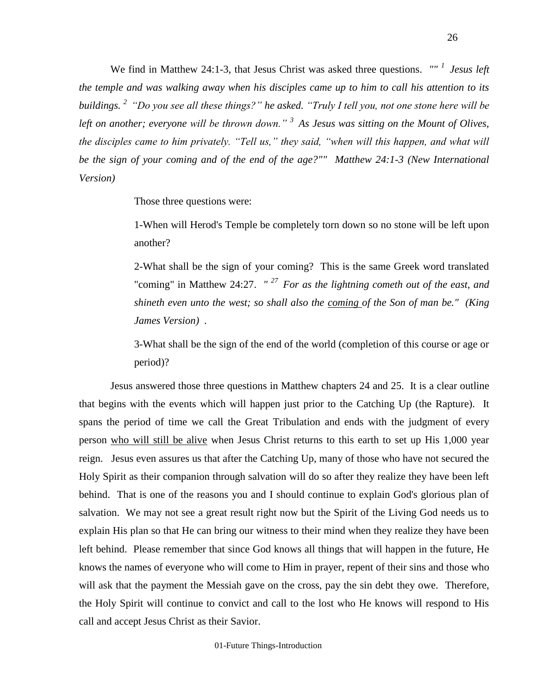We find in Matthew 24:1-3, that Jesus Christ was asked three questions. *"" <sup>1</sup>Jesus left the temple and was walking away when his disciples came up to him to call his attention to its buildings. <sup>2</sup>"Do you see all these things?" he asked. "Truly I tell you, not one stone here will be left on another; everyone will be thrown down." <sup>3</sup>As Jesus was sitting on the Mount of Olives, the disciples came to him privately. "Tell us," they said, "when will this happen, and what will be the sign of your coming and of the end of the age?"" Matthew 24:1-3 (New International Version)*

Those three questions were:

1-When will Herod's Temple be completely torn down so no stone will be left upon another?

2-What shall be the sign of your coming? This is the same Greek word translated "coming" in Matthew 24:27. *" <sup>27</sup>For as the lightning cometh out of the east, and shineth even unto the west; so shall also the coming of the Son of man be." (King James Version) .*

3-What shall be the sign of the end of the world (completion of this course or age or period)?

Jesus answered those three questions in Matthew chapters 24 and 25. It is a clear outline that begins with the events which will happen just prior to the Catching Up (the Rapture). It spans the period of time we call the Great Tribulation and ends with the judgment of every person who will still be alive when Jesus Christ returns to this earth to set up His 1,000 year reign. Jesus even assures us that after the Catching Up, many of those who have not secured the Holy Spirit as their companion through salvation will do so after they realize they have been left behind. That is one of the reasons you and I should continue to explain God's glorious plan of salvation. We may not see a great result right now but the Spirit of the Living God needs us to explain His plan so that He can bring our witness to their mind when they realize they have been left behind. Please remember that since God knows all things that will happen in the future, He knows the names of everyone who will come to Him in prayer, repent of their sins and those who will ask that the payment the Messiah gave on the cross, pay the sin debt they owe. Therefore, the Holy Spirit will continue to convict and call to the lost who He knows will respond to His call and accept Jesus Christ as their Savior.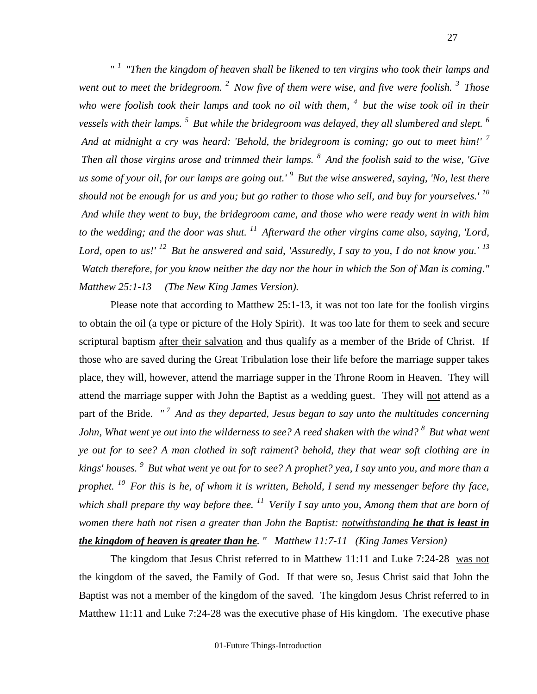" *<sup>1</sup>"Then the kingdom of heaven shall be likened to ten virgins who took their lamps and went out to meet the bridegroom. <sup>2</sup>Now five of them were wise, and five were foolish. <sup>3</sup>Those who were foolish took their lamps and took no oil with them, <sup>4</sup>but the wise took oil in their vessels with their lamps. <sup>5</sup>But while the bridegroom was delayed, they all slumbered and slept. <sup>6</sup> And at midnight a cry was heard: 'Behold, the bridegroom is coming; go out to meet him!' <sup>7</sup> Then all those virgins arose and trimmed their lamps. <sup>8</sup>And the foolish said to the wise, 'Give us some of your oil, for our lamps are going out.' <sup>9</sup>But the wise answered, saying, 'No, lest there should not be enough for us and you; but go rather to those who sell, and buy for yourselves.' <sup>10</sup> And while they went to buy, the bridegroom came, and those who were ready went in with him to the wedding; and the door was shut. <sup>11</sup>Afterward the other virgins came also, saying, 'Lord, Lord, open to us!' <sup>12</sup>But he answered and said, 'Assuredly, I say to you, I do not know you.' <sup>13</sup> Watch therefore, for you know neither the day nor the hour in which the Son of Man is coming." Matthew 25:1-13 (The New King James Version).*

Please note that according to Matthew 25:1-13, it was not too late for the foolish virgins to obtain the oil (a type or picture of the Holy Spirit). It was too late for them to seek and secure scriptural baptism after their salvation and thus qualify as a member of the Bride of Christ. If those who are saved during the Great Tribulation lose their life before the marriage supper takes place, they will, however, attend the marriage supper in the Throne Room in Heaven. They will attend the marriage supper with John the Baptist as a wedding guest. They will not attend as a part of the Bride. *" <sup>7</sup>And as they departed, Jesus began to say unto the multitudes concerning John, What went ye out into the wilderness to see? A reed shaken with the wind? <sup>8</sup>But what went ye out for to see? A man clothed in soft raiment? behold, they that wear soft clothing are in kings' houses. <sup>9</sup>But what went ye out for to see? A prophet? yea, I say unto you, and more than a prophet. <sup>10</sup>For this is he, of whom it is written, Behold, I send my messenger before thy face, which shall prepare thy way before thee. <sup>11</sup>Verily I say unto you, Among them that are born of women there hath not risen a greater than John the Baptist: notwithstanding he that is least in the kingdom of heaven is greater than he. " Matthew 11:7-11 (King James Version)* 

The kingdom that Jesus Christ referred to in Matthew 11:11 and Luke 7:24-28 was not the kingdom of the saved, the Family of God. If that were so, Jesus Christ said that John the Baptist was not a member of the kingdom of the saved. The kingdom Jesus Christ referred to in Matthew 11:11 and Luke 7:24-28 was the executive phase of His kingdom. The executive phase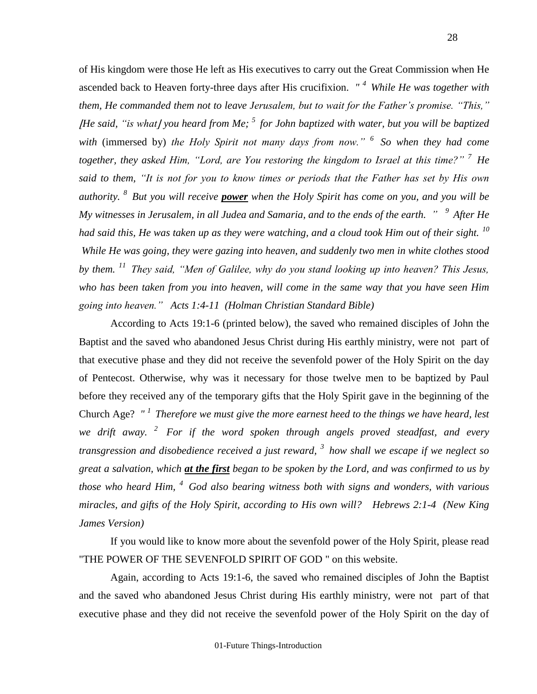of His kingdom were those He left as His executives to carry out the Great Commission when He ascended back to Heaven forty-three days after His crucifixion. *" <sup>4</sup>While He was together with them, He commanded them not to leave Jerusalem, but to wait for the Father's promise. "This," <i>He said, "is what l* you heard from Me; <sup>5</sup> for John baptized with water, but you will be baptized  $\blacksquare$ *with* (immersed by) *the Holy Spirit not many days from now." <sup>6</sup>So when they had come together, they asked Him, "Lord, are You restoring the kingdom to Israel at this time?" <sup>7</sup>He said to them, "It is not for you to know times or periods that the Father has set by His own authority. <sup>8</sup>But you will receive power when the Holy Spirit has come on you, and you will be My witnesses in Jerusalem, in all Judea and Samaria, and to the ends of the earth. " <sup>9</sup>After He had said this, He was taken up as they were watching, and a cloud took Him out of their sight. <sup>10</sup> While He was going, they were gazing into heaven, and suddenly two men in white clothes stood by them. <sup>11</sup>They said, "Men of Galilee, why do you stand looking up into heaven? This Jesus, who has been taken from you into heaven, will come in the same way that you have seen Him going into heaven." Acts 1:4-11 (Holman Christian Standard Bible)*

According to Acts 19:1-6 (printed below), the saved who remained disciples of John the Baptist and the saved who abandoned Jesus Christ during His earthly ministry, were not part of that executive phase and they did not receive the sevenfold power of the Holy Spirit on the day of Pentecost. Otherwise, why was it necessary for those twelve men to be baptized by Paul before they received any of the temporary gifts that the Holy Spirit gave in the beginning of the Church Age? *" <sup>1</sup>Therefore we must give the more earnest heed to the things we have heard, lest we drift away. <sup>2</sup>For if the word spoken through angels proved steadfast, and every transgression and disobedience received a just reward, <sup>3</sup>how shall we escape if we neglect so great a salvation, which at the first began to be spoken by the Lord, and was confirmed to us by those who heard Him, <sup>4</sup>God also bearing witness both with signs and wonders, with various miracles, and gifts of the Holy Spirit, according to His own will? Hebrews 2:1-4 (New King James Version)* 

If you would like to know more about the sevenfold power of the Holy Spirit, please read "THE POWER OF THE SEVENFOLD SPIRIT OF GOD " on this website.

Again, according to Acts 19:1-6, the saved who remained disciples of John the Baptist and the saved who abandoned Jesus Christ during His earthly ministry, were not part of that executive phase and they did not receive the sevenfold power of the Holy Spirit on the day of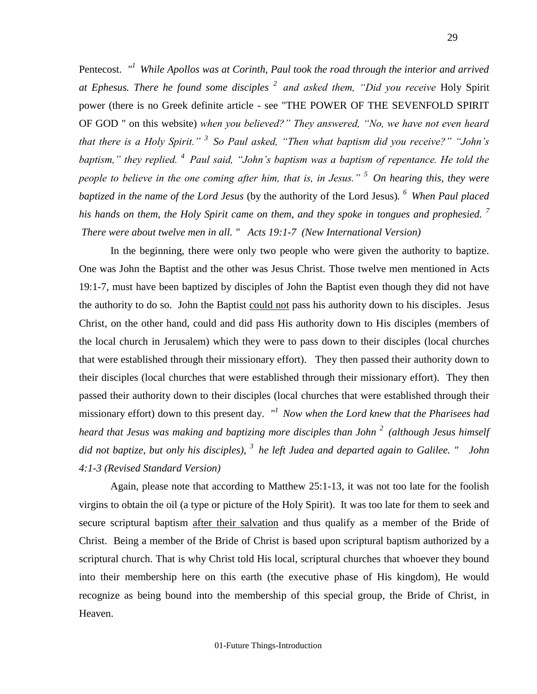Pentecost. "<sup>1</sup> While Apollos was at Corinth, Paul took the road through the interior and arrived *at Ephesus. There he found some disciples <sup>2</sup>and asked them, "Did you receive* Holy Spirit power (there is no Greek definite article - see "THE POWER OF THE SEVENFOLD SPIRIT OF GOD " on this website) *when you believed?" They answered, "No, we have not even heard that there is a Holy Spirit." <sup>3</sup>So Paul asked, "Then what baptism did you receive?" "John's baptism," they replied. <sup>4</sup>Paul said, "John's baptism was a baptism of repentance. He told the people to believe in the one coming after him, that is, in Jesus." <sup>5</sup>On hearing this, they were baptized in the name of the Lord Jesus* (by the authority of the Lord Jesus)*. <sup>6</sup>When Paul placed his hands on them, the Holy Spirit came on them, and they spoke in tongues and prophesied. <sup>7</sup> There were about twelve men in all. " Acts 19:1-7 (New International Version)*

In the beginning, there were only two people who were given the authority to baptize. One was John the Baptist and the other was Jesus Christ. Those twelve men mentioned in Acts 19:1-7, must have been baptized by disciples of John the Baptist even though they did not have the authority to do so. John the Baptist could not pass his authority down to his disciples. Jesus Christ, on the other hand, could and did pass His authority down to His disciples (members of the local church in Jerusalem) which they were to pass down to their disciples (local churches that were established through their missionary effort). They then passed their authority down to their disciples (local churches that were established through their missionary effort). They then passed their authority down to their disciples (local churches that were established through their missionary effort) down to this present day. *" <sup>1</sup>Now when the Lord knew that the Pharisees had heard that Jesus was making and baptizing more disciples than John <sup>2</sup>(although Jesus himself did not baptize, but only his disciples), <sup>3</sup>he left Judea and departed again to Galilee. " John 4:1-3 (Revised Standard Version)*

Again, please note that according to Matthew 25:1-13, it was not too late for the foolish virgins to obtain the oil (a type or picture of the Holy Spirit). It was too late for them to seek and secure scriptural baptism after their salvation and thus qualify as a member of the Bride of Christ. Being a member of the Bride of Christ is based upon scriptural baptism authorized by a scriptural church. That is why Christ told His local, scriptural churches that whoever they bound into their membership here on this earth (the executive phase of His kingdom), He would recognize as being bound into the membership of this special group, the Bride of Christ, in Heaven.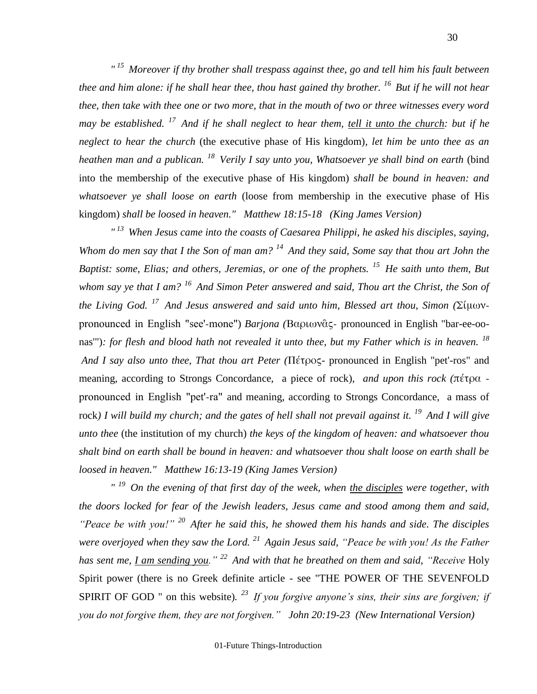*" <sup>15</sup>Moreover if thy brother shall trespass against thee, go and tell him his fault between thee and him alone: if he shall hear thee, thou hast gained thy brother. <sup>16</sup>But if he will not hear thee, then take with thee one or two more, that in the mouth of two or three witnesses every word may be established. <sup>17</sup>And if he shall neglect to hear them, tell it unto the church: but if he neglect to hear the church* (the executive phase of His kingdom)*, let him be unto thee as an heathen man and a publican. <sup>18</sup>Verily I say unto you, Whatsoever ye shall bind on earth* (bind into the membership of the executive phase of His kingdom) *shall be bound in heaven: and whatsoever ye shall loose on earth* (loose from membership in the executive phase of His kingdom) *shall be loosed in heaven." Matthew 18:15-18 (King James Version)* 

*" <sup>13</sup>When Jesus came into the coasts of Caesarea Philippi, he asked his disciples, saying, Whom do men say that I the Son of man am? <sup>14</sup>And they said, Some say that thou art John the Baptist: some, Elias; and others, Jeremias, or one of the prophets. <sup>15</sup>He saith unto them, But whom say ye that I am? <sup>16</sup>And Simon Peter answered and said, Thou art the Christ, the Son of the Living God. <sup>17</sup>And Jesus answered and said unto him, Blessed art thou, Simon (*Σίμωνpronounced in English "see'-mone") *Barjona (*Βαριωνᾶς- pronounced in English "bar-ee-oonas'")*: for flesh and blood hath not revealed it unto thee, but my Father which is in heaven. <sup>18</sup> And I say also unto thee, That thou art Peter (*Πέτρος- pronounced in English "pet'-ros" and meaning, according to Strongs Concordance, a piece of rock)*, and upon this rock (*πέτρα pronounced in English "pet'-ra" and meaning, according to Strongs Concordance, a mass of rock*) I will build my church; and the gates of hell shall not prevail against it. <sup>19</sup>And I will give unto thee* (the institution of my church) *the keys of the kingdom of heaven: and whatsoever thou shalt bind on earth shall be bound in heaven: and whatsoever thou shalt loose on earth shall be loosed in heaven." Matthew 16:13-19 (King James Version)* 

*" <sup>19</sup>On the evening of that first day of the week, when the disciples were together, with the doors locked for fear of the Jewish leaders, Jesus came and stood among them and said, "Peace be with you!" <sup>20</sup>After he said this, he showed them his hands and side. The disciples were overjoyed when they saw the Lord. <sup>21</sup>Again Jesus said, "Peace be with you! As the Father has sent me, I am sending you." <sup>22</sup>And with that he breathed on them and said, "Receive* Holy Spirit power (there is no Greek definite article - see "THE POWER OF THE SEVENFOLD SPIRIT OF GOD " on this website). <sup>23</sup> If you forgive anyone's sins, their sins are forgiven; if *you do not forgive them, they are not forgiven." John 20:19-23 (New International Version)*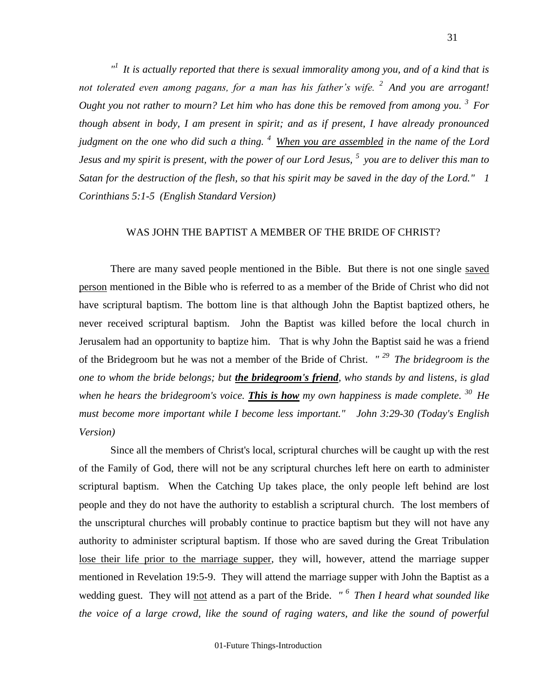*" <sup>1</sup>It is actually reported that there is sexual immorality among you, and of a kind that is not tolerated even among pagans, for a man has his father's wife. <sup>2</sup>And you are arrogant! Ought you not rather to mourn? Let him who has done this be removed from among you. <sup>3</sup>For though absent in body, I am present in spirit; and as if present, I have already pronounced judgment on the one who did such a thing. <sup>4</sup>When you are assembled in the name of the Lord Jesus and my spirit is present, with the power of our Lord Jesus, <sup>5</sup>you are to deliver this man to Satan for the destruction of the flesh, so that his spirit may be saved in the day of the Lord." 1 Corinthians 5:1-5 (English Standard Version)*

## WAS JOHN THE BAPTIST A MEMBER OF THE BRIDE OF CHRIST?

There are many saved people mentioned in the Bible. But there is not one single saved person mentioned in the Bible who is referred to as a member of the Bride of Christ who did not have scriptural baptism. The bottom line is that although John the Baptist baptized others, he never received scriptural baptism. John the Baptist was killed before the local church in Jerusalem had an opportunity to baptize him. That is why John the Baptist said he was a friend of the Bridegroom but he was not a member of the Bride of Christ. *" <sup>29</sup>The bridegroom is the one to whom the bride belongs; but the bridegroom's friend, who stands by and listens, is glad when he hears the bridegroom's voice. This is how my own happiness is made complete. <sup>30</sup>He must become more important while I become less important." John 3:29-30 (Today's English Version)*

Since all the members of Christ's local, scriptural churches will be caught up with the rest of the Family of God, there will not be any scriptural churches left here on earth to administer scriptural baptism. When the Catching Up takes place, the only people left behind are lost people and they do not have the authority to establish a scriptural church. The lost members of the unscriptural churches will probably continue to practice baptism but they will not have any authority to administer scriptural baptism. If those who are saved during the Great Tribulation lose their life prior to the marriage supper, they will, however, attend the marriage supper mentioned in Revelation 19:5-9. They will attend the marriage supper with John the Baptist as a wedding guest. They will not attend as a part of the Bride. *" <sup>6</sup>Then I heard what sounded like the voice of a large crowd, like the sound of raging waters, and like the sound of powerful*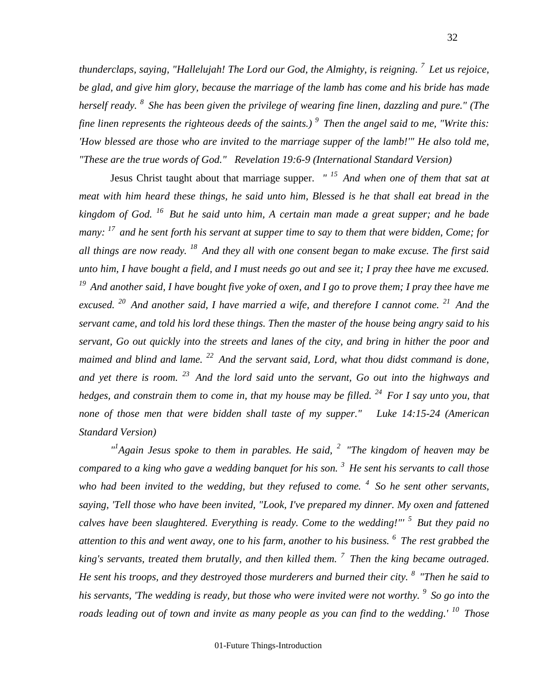*thunderclaps, saying, "Hallelujah! The Lord our God, the Almighty, is reigning. <sup>7</sup>Let us rejoice, be glad, and give him glory, because the marriage of the lamb has come and his bride has made herself ready. <sup>8</sup>She has been given the privilege of wearing fine linen, dazzling and pure." (The fine linen represents the righteous deeds of the saints.) <sup>9</sup>Then the angel said to me, "Write this: 'How blessed are those who are invited to the marriage supper of the lamb!'" He also told me, "These are the true words of God." Revelation 19:6-9 (International Standard Version)*

Jesus Christ taught about that marriage supper. *" <sup>15</sup>And when one of them that sat at meat with him heard these things, he said unto him, Blessed is he that shall eat bread in the kingdom of God. <sup>16</sup>But he said unto him, A certain man made a great supper; and he bade many: <sup>17</sup>and he sent forth his servant at supper time to say to them that were bidden, Come; for all things are now ready. <sup>18</sup>And they all with one consent began to make excuse. The first said unto him, I have bought a field, and I must needs go out and see it; I pray thee have me excused. <sup>19</sup> And another said, I have bought five yoke of oxen, and I go to prove them; I pray thee have me excused. <sup>20</sup>And another said, I have married a wife, and therefore I cannot come. <sup>21</sup>And the servant came, and told his lord these things. Then the master of the house being angry said to his servant, Go out quickly into the streets and lanes of the city, and bring in hither the poor and maimed and blind and lame. <sup>22</sup>And the servant said, Lord, what thou didst command is done, and yet there is room. <sup>23</sup>And the lord said unto the servant, Go out into the highways and hedges, and constrain them to come in, that my house may be filled. <sup>24</sup>For I say unto you, that none of those men that were bidden shall taste of my supper." Luke 14:15-24 (American Standard Version)*

*" 1 Again Jesus spoke to them in parables. He said, <sup>2</sup>"The kingdom of heaven may be compared to a king who gave a wedding banquet for his son. <sup>3</sup>He sent his servants to call those who had been invited to the wedding, but they refused to come. <sup>4</sup>So he sent other servants, saying, 'Tell those who have been invited, "Look, I've prepared my dinner. My oxen and fattened calves have been slaughtered. Everything is ready. Come to the wedding!"' <sup>5</sup>But they paid no attention to this and went away, one to his farm, another to his business. <sup>6</sup>The rest grabbed the king's servants, treated them brutally, and then killed them. <sup>7</sup>Then the king became outraged. He sent his troops, and they destroyed those murderers and burned their city. <sup>8</sup>"Then he said to his servants, 'The wedding is ready, but those who were invited were not worthy. <sup>9</sup>So go into the roads leading out of town and invite as many people as you can find to the wedding.' <sup>10</sup>Those* 

32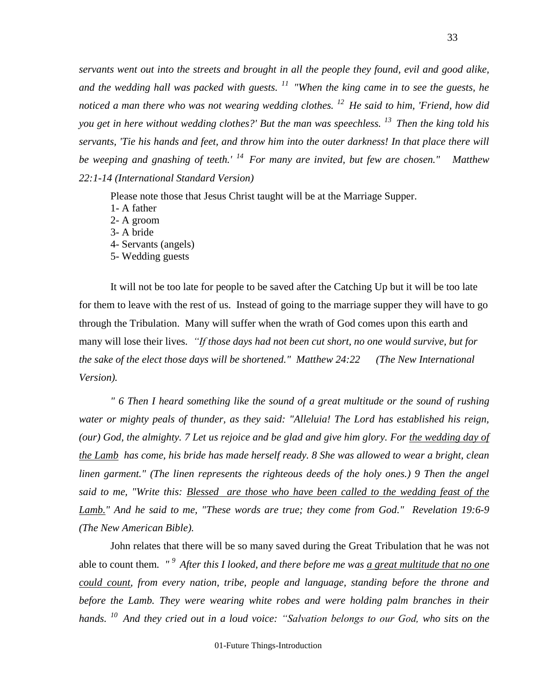*servants went out into the streets and brought in all the people they found, evil and good alike, and the wedding hall was packed with guests. <sup>11</sup>"When the king came in to see the guests, he noticed a man there who was not wearing wedding clothes. <sup>12</sup>He said to him, 'Friend, how did you get in here without wedding clothes?' But the man was speechless. <sup>13</sup>Then the king told his servants, 'Tie his hands and feet, and throw him into the outer darkness! In that place there will be weeping and gnashing of teeth.' <sup>14</sup>For many are invited, but few are chosen." Matthew 22:1-14 (International Standard Version)*

Please note those that Jesus Christ taught will be at the Marriage Supper.

- 1- A father 2- A groom 3- A bride 4- Servants (angels)
- 5- Wedding guests

It will not be too late for people to be saved after the Catching Up but it will be too late for them to leave with the rest of us. Instead of going to the marriage supper they will have to go through the Tribulation. Many will suffer when the wrath of God comes upon this earth and many will lose their lives*. "If those days had not been cut short, no one would survive, but for the sake of the elect those days will be shortened." Matthew 24:22 (The New International Version).*

*" 6 Then I heard something like the sound of a great multitude or the sound of rushing water or mighty peals of thunder, as they said: "Alleluia! The Lord has established his reign, (our) God, the almighty. 7 Let us rejoice and be glad and give him glory. For the wedding day of the Lamb has come, his bride has made herself ready. 8 She was allowed to wear a bright, clean linen garment." (The linen represents the righteous deeds of the holy ones.) 9 Then the angel said to me, "Write this: Blessed are those who have been called to the wedding feast of the Lamb." And he said to me, "These words are true; they come from God." Revelation 19:6-9 (The New American Bible).*

John relates that there will be so many saved during the Great Tribulation that he was not able to count them*. " <sup>9</sup>After this I looked, and there before me was a great multitude that no one could count, from every nation, tribe, people and language, standing before the throne and before the Lamb. They were wearing white robes and were holding palm branches in their hands. <sup>10</sup>And they cried out in a loud voice: "Salvation belongs to our God, who sits on the*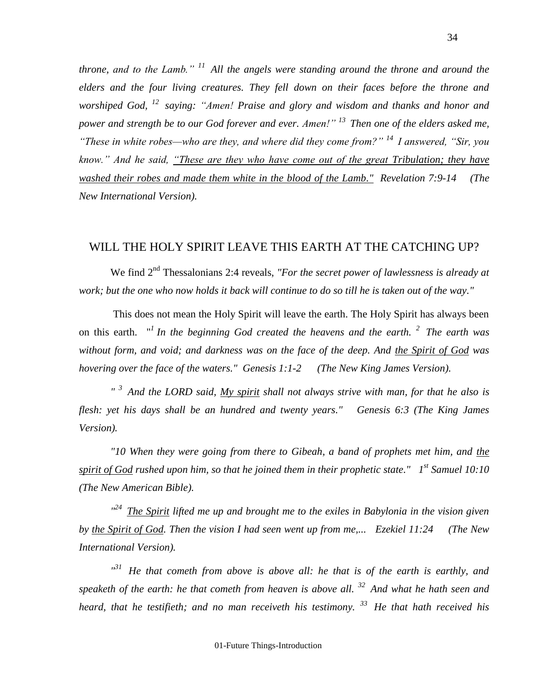*throne, and to the Lamb." <sup>11</sup>All the angels were standing around the throne and around the elders and the four living creatures. They fell down on their faces before the throne and worshiped God, <sup>12</sup>saying: "Amen! Praise and glory and wisdom and thanks and honor and power and strength be to our God forever and ever. Amen!" <sup>13</sup>Then one of the elders asked me, "These in white robes—who are they, and where did they come from?" <sup>14</sup>I answered, "Sir, you know." And he said, "These are they who have come out of the great Tribulation; they have washed their robes and made them white in the blood of the Lamb." Revelation 7:9-14 (The New International Version).*

## WILL THE HOLY SPIRIT LEAVE THIS EARTH AT THE CATCHING UP?

We find 2<sup>nd</sup> Thessalonians 2:4 reveals, *"For the secret power of lawlessness is already at work; but the one who now holds it back will continue to do so till he is taken out of the way."*

This does not mean the Holy Spirit will leave the earth. The Holy Spirit has always been on this earth. " *1 In the beginning God created the heavens and the earth. <sup>2</sup>The earth was without form, and void; and darkness was on the face of the deep. And the Spirit of God was hovering over the face of the waters." Genesis 1:1-2 (The New King James Version).*

*" <sup>3</sup>And the LORD said, My spirit shall not always strive with man, for that he also is flesh: yet his days shall be an hundred and twenty years." Genesis 6:3 (The King James Version).*

*"10 When they were going from there to Gibeah, a band of prophets met him, and the spirit of God rushed upon him, so that he joined them in their prophetic state." 1 st Samuel 10:10 (The New American Bible).*

*" <sup>24</sup>The Spirit lifted me up and brought me to the exiles in Babylonia in the vision given by the Spirit of God. Then the vision I had seen went up from me,... Ezekiel 11:24 (The New International Version).*

<sup>131</sup> He that cometh from above is above all: he that is of the earth is earthly, and *speaketh of the earth: he that cometh from heaven is above all. <sup>32</sup>And what he hath seen and heard, that he testifieth; and no man receiveth his testimony. <sup>33</sup>He that hath received his*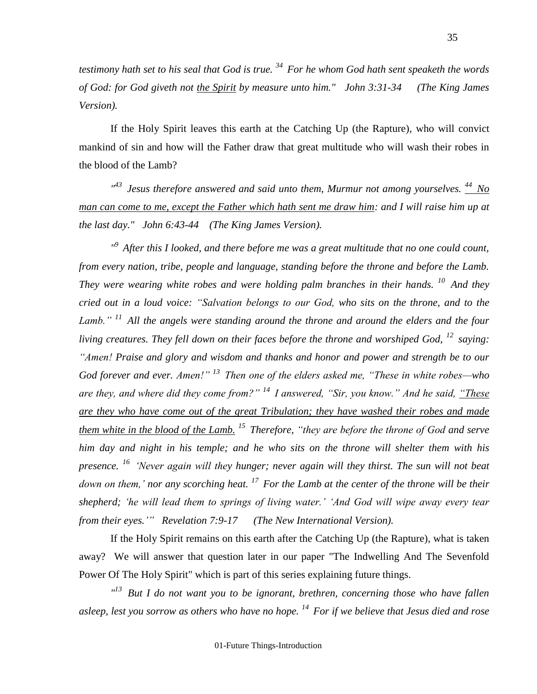*testimony hath set to his seal that God is true. <sup>34</sup>For he whom God hath sent speaketh the words of God: for God giveth not the Spirit by measure unto him." John 3:31-34 (The King James Version).*

If the Holy Spirit leaves this earth at the Catching Up (the Rapture), who will convict mankind of sin and how will the Father draw that great multitude who will wash their robes in the blood of the Lamb?

*" <sup>43</sup>Jesus therefore answered and said unto them, Murmur not among yourselves. <sup>44</sup> No man can come to me, except the Father which hath sent me draw him: and I will raise him up at the last day." John 6:43-44 (The King James Version).*

<sup>"</sup> After this I looked, and there before me was a great multitude that no one could count, *from every nation, tribe, people and language, standing before the throne and before the Lamb. They were wearing white robes and were holding palm branches in their hands. <sup>10</sup>And they cried out in a loud voice: "Salvation belongs to our God, who sits on the throne, and to the Lamb." <sup>11</sup>All the angels were standing around the throne and around the elders and the four living creatures. They fell down on their faces before the throne and worshiped God, <sup>12</sup> <i>saying: "Amen! Praise and glory and wisdom and thanks and honor and power and strength be to our God forever and ever. Amen!" <sup>13</sup>Then one of the elders asked me, "These in white robes—who are they, and where did they come from?" <sup>14</sup>I answered, "Sir, you know." And he said, "These are they who have come out of the great Tribulation; they have washed their robes and made them white in the blood of the Lamb. <sup>15</sup>Therefore, "they are before the throne of God and serve him day and night in his temple; and he who sits on the throne will shelter them with his presence. <sup>16</sup>'Never again will they hunger; never again will they thirst. The sun will not beat down on them,' nor any scorching heat. <sup>17</sup>For the Lamb at the center of the throne will be their shepherd; 'he will lead them to springs of living water.' 'And God will wipe away every tear from their eyes.'" Revelation 7:9-17 (The New International Version).*

If the Holy Spirit remains on this earth after the Catching Up (the Rapture), what is taken away? We will answer that question later in our paper "The Indwelling And The Sevenfold Power Of The Holy Spirit" which is part of this series explaining future things.

*" <sup>13</sup>But I do not want you to be ignorant, brethren, concerning those who have fallen asleep, lest you sorrow as others who have no hope. <sup>14</sup>For if we believe that Jesus died and rose*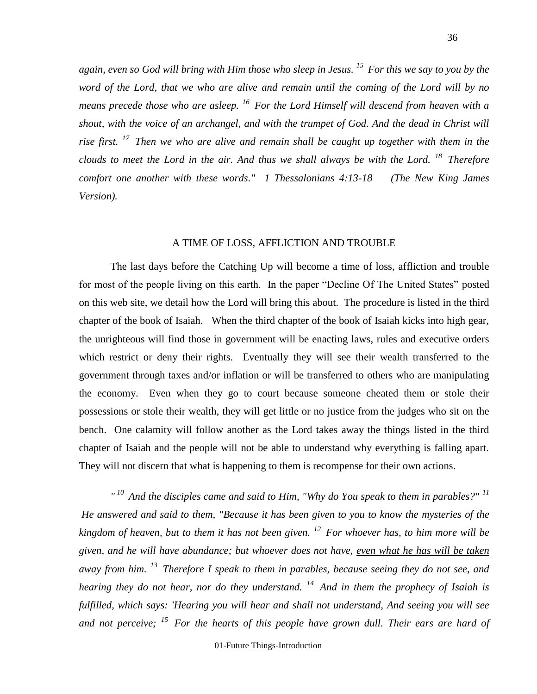*again, even so God will bring with Him those who sleep in Jesus. <sup>15</sup>For this we say to you by the word of the Lord, that we who are alive and remain until the coming of the Lord will by no means precede those who are asleep. <sup>16</sup>For the Lord Himself will descend from heaven with a shout, with the voice of an archangel, and with the trumpet of God. And the dead in Christ will rise first. <sup>17</sup>Then we who are alive and remain shall be caught up together with them in the clouds to meet the Lord in the air. And thus we shall always be with the Lord. <sup>18</sup>Therefore comfort one another with these words." 1 Thessalonians 4:13-18 (The New King James Version).*

#### A TIME OF LOSS, AFFLICTION AND TROUBLE

The last days before the Catching Up will become a time of loss, affliction and trouble for most of the people living on this earth. In the paper "Decline Of The United States" posted on this web site, we detail how the Lord will bring this about. The procedure is listed in the third chapter of the book of Isaiah. When the third chapter of the book of Isaiah kicks into high gear, the unrighteous will find those in government will be enacting laws, rules and executive orders which restrict or deny their rights. Eventually they will see their wealth transferred to the government through taxes and/or inflation or will be transferred to others who are manipulating the economy. Even when they go to court because someone cheated them or stole their possessions or stole their wealth, they will get little or no justice from the judges who sit on the bench. One calamity will follow another as the Lord takes away the things listed in the third chapter of Isaiah and the people will not be able to understand why everything is falling apart. They will not discern that what is happening to them is recompense for their own actions.

*" <sup>10</sup>And the disciples came and said to Him, "Why do You speak to them in parables?" <sup>11</sup> He answered and said to them, "Because it has been given to you to know the mysteries of the kingdom of heaven, but to them it has not been given. <sup>12</sup>For whoever has, to him more will be given, and he will have abundance; but whoever does not have, even what he has will be taken away from him. <sup>13</sup>Therefore I speak to them in parables, because seeing they do not see, and hearing they do not hear, nor do they understand. <sup>14</sup>And in them the prophecy of Isaiah is fulfilled, which says: 'Hearing you will hear and shall not understand, And seeing you will see and not perceive; <sup>15</sup>For the hearts of this people have grown dull. Their ears are hard of* 

01-Future Things-Introduction